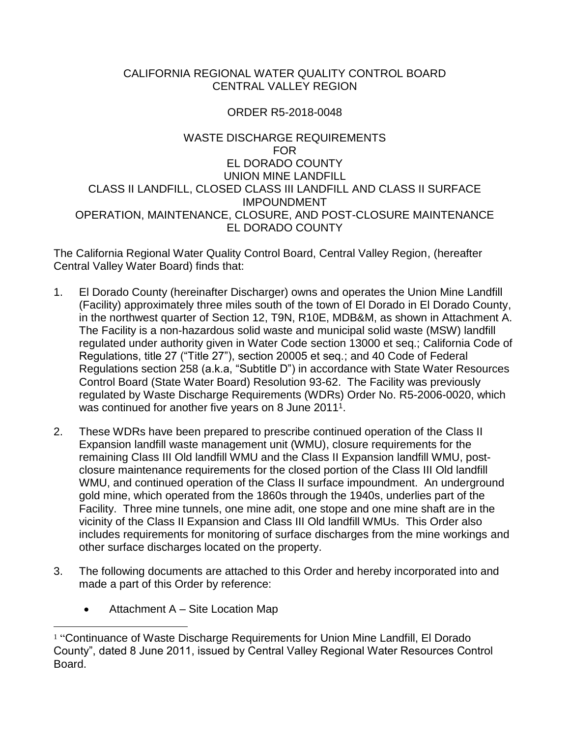#### CALIFORNIA REGIONAL WATER QUALITY CONTROL BOARD CENTRAL VALLEY REGION

# ORDER R5-2018-0048

#### WASTE DISCHARGE REQUIREMENTS FOR EL DORADO COUNTY UNION MINE LANDFILL CLASS II LANDFILL, CLOSED CLASS III LANDFILL AND CLASS II SURFACE IMPOUNDMENT OPERATION, MAINTENANCE, CLOSURE, AND POST-CLOSURE MAINTENANCE EL DORADO COUNTY

The California Regional Water Quality Control Board, Central Valley Region, (hereafter Central Valley Water Board) finds that:

- 1. El Dorado County (hereinafter Discharger) owns and operates the Union Mine Landfill (Facility) approximately three miles south of the town of El Dorado in El Dorado County, in the northwest quarter of Section 12, T9N, R10E, MDB&M, as shown in Attachment A. The Facility is a non-hazardous solid waste and municipal solid waste (MSW) landfill regulated under authority given in Water Code section 13000 et seq.; California Code of Regulations, title 27 ("Title 27"), section 20005 et seq.; and 40 Code of Federal Regulations section 258 (a.k.a, "Subtitle D") in accordance with State Water Resources Control Board (State Water Board) Resolution 93-62. The Facility was previously regulated by Waste Discharge Requirements (WDRs) Order No. R5-2006-0020, which was continued for another five years on 8 June 20111.
- 2. These WDRs have been prepared to prescribe continued operation of the Class II Expansion landfill waste management unit (WMU), closure requirements for the remaining Class III Old landfill WMU and the Class II Expansion landfill WMU, postclosure maintenance requirements for the closed portion of the Class III Old landfill WMU, and continued operation of the Class II surface impoundment. An underground gold mine, which operated from the 1860s through the 1940s, underlies part of the Facility. Three mine tunnels, one mine adit, one stope and one mine shaft are in the vicinity of the Class II Expansion and Class III Old landfill WMUs. This Order also includes requirements for monitoring of surface discharges from the mine workings and other surface discharges located on the property.
- 3. The following documents are attached to this Order and hereby incorporated into and made a part of this Order by reference:
	- Attachment A Site Location Map

 $\overline{a}$ <sup>1</sup> "Continuance of Waste Discharge Requirements for Union Mine Landfill, El Dorado County", dated 8 June 2011, issued by Central Valley Regional Water Resources Control Board.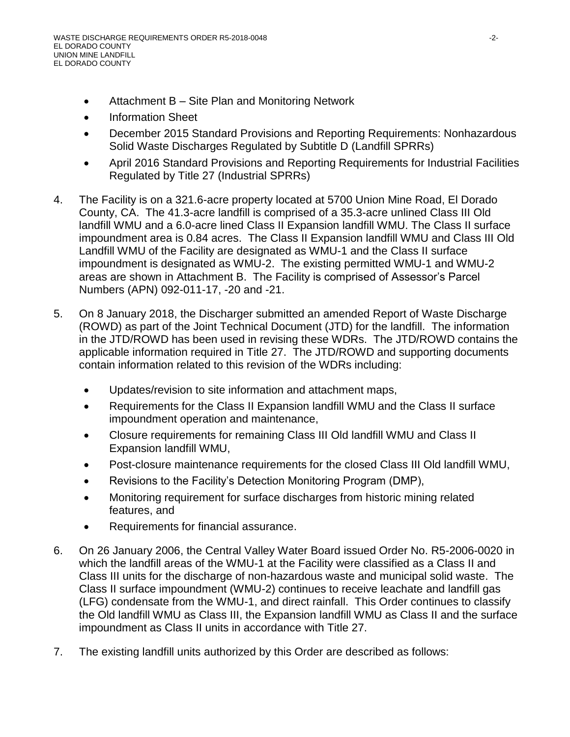- Attachment B Site Plan and Monitoring Network
- Information Sheet
- December 2015 Standard Provisions and Reporting Requirements: Nonhazardous Solid Waste Discharges Regulated by Subtitle D (Landfill SPRRs)
- April 2016 Standard Provisions and Reporting Requirements for Industrial Facilities Regulated by Title 27 (Industrial SPRRs)
- 4. The Facility is on a 321.6-acre property located at 5700 Union Mine Road, El Dorado County, CA. The 41.3-acre landfill is comprised of a 35.3-acre unlined Class III Old landfill WMU and a 6.0-acre lined Class II Expansion landfill WMU. The Class II surface impoundment area is 0.84 acres. The Class II Expansion landfill WMU and Class III Old Landfill WMU of the Facility are designated as WMU-1 and the Class II surface impoundment is designated as WMU-2. The existing permitted WMU-1 and WMU-2 areas are shown in Attachment B. The Facility is comprised of Assessor's Parcel Numbers (APN) 092-011-17, -20 and -21.
- 5. On 8 January 2018, the Discharger submitted an amended Report of Waste Discharge (ROWD) as part of the Joint Technical Document (JTD) for the landfill. The information in the JTD/ROWD has been used in revising these WDRs. The JTD/ROWD contains the applicable information required in Title 27. The JTD/ROWD and supporting documents contain information related to this revision of the WDRs including:
	- Updates/revision to site information and attachment maps,
	- Requirements for the Class II Expansion landfill WMU and the Class II surface impoundment operation and maintenance,
	- Closure requirements for remaining Class III Old landfill WMU and Class II Expansion landfill WMU,
	- Post-closure maintenance requirements for the closed Class III Old landfill WMU,
	- Revisions to the Facility's Detection Monitoring Program (DMP),
	- Monitoring requirement for surface discharges from historic mining related features, and
	- Requirements for financial assurance.
- 6. On 26 January 2006, the Central Valley Water Board issued Order No. R5-2006-0020 in which the landfill areas of the WMU-1 at the Facility were classified as a Class II and Class III units for the discharge of non-hazardous waste and municipal solid waste. The Class II surface impoundment (WMU-2) continues to receive leachate and landfill gas (LFG) condensate from the WMU-1, and direct rainfall. This Order continues to classify the Old landfill WMU as Class III, the Expansion landfill WMU as Class II and the surface impoundment as Class II units in accordance with Title 27.
- 7. The existing landfill units authorized by this Order are described as follows: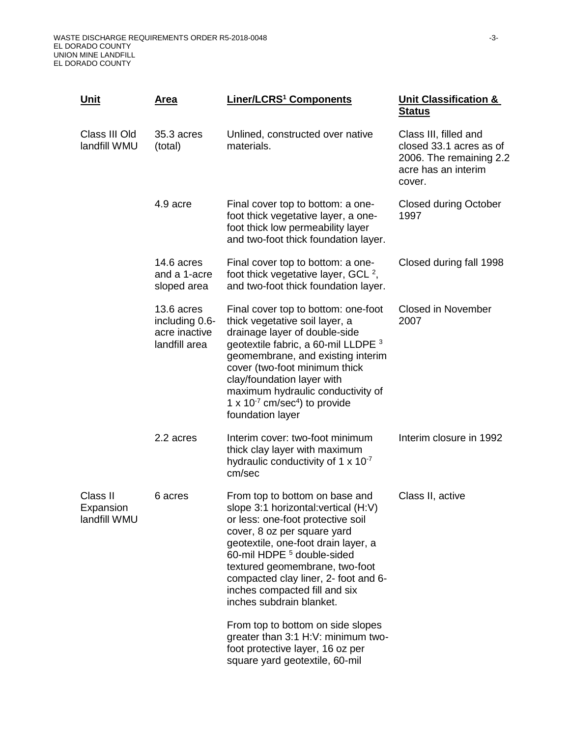| <u>Unit</u>                           | <u>Area</u>                                                    | Liner/LCRS <sup>1</sup> Components                                                                                                                                                                                                                                                                                                                                      | <b>Unit Classification &amp;</b><br><b>Status</b>                                                            |
|---------------------------------------|----------------------------------------------------------------|-------------------------------------------------------------------------------------------------------------------------------------------------------------------------------------------------------------------------------------------------------------------------------------------------------------------------------------------------------------------------|--------------------------------------------------------------------------------------------------------------|
| Class III Old<br>landfill WMU         | 35.3 acres<br>(total)                                          | Unlined, constructed over native<br>materials.                                                                                                                                                                                                                                                                                                                          | Class III, filled and<br>closed 33.1 acres as of<br>2006. The remaining 2.2<br>acre has an interim<br>cover. |
|                                       | 4.9 acre                                                       | Final cover top to bottom: a one-<br>foot thick vegetative layer, a one-<br>foot thick low permeability layer<br>and two-foot thick foundation layer.                                                                                                                                                                                                                   | <b>Closed during October</b><br>1997                                                                         |
|                                       | 14.6 acres<br>and a 1-acre<br>sloped area                      | Final cover top to bottom: a one-<br>foot thick vegetative layer, GCL $^2$ ,<br>and two-foot thick foundation layer.                                                                                                                                                                                                                                                    | Closed during fall 1998                                                                                      |
|                                       | 13.6 acres<br>including 0.6-<br>acre inactive<br>landfill area | Final cover top to bottom: one-foot<br>thick vegetative soil layer, a<br>drainage layer of double-side<br>geotextile fabric, a 60-mil LLDPE <sup>3</sup><br>geomembrane, and existing interim<br>cover (two-foot minimum thick<br>clay/foundation layer with<br>maximum hydraulic conductivity of<br>1 x $10^{-7}$ cm/sec <sup>4</sup> ) to provide<br>foundation layer | <b>Closed in November</b><br>2007                                                                            |
|                                       | 2.2 acres                                                      | Interim cover: two-foot minimum<br>thick clay layer with maximum<br>hydraulic conductivity of 1 $\times$ 10 <sup>-7</sup><br>cm/sec                                                                                                                                                                                                                                     | Interim closure in 1992                                                                                      |
| Class II<br>Expansion<br>landfill WMU | 6 acres                                                        | From top to bottom on base and<br>slope 3:1 horizontal: vertical (H:V)<br>or less: one-foot protective soil<br>cover, 8 oz per square yard<br>geotextile, one-foot drain layer, a<br>60-mil HDPE <sup>5</sup> double-sided<br>textured geomembrane, two-foot<br>compacted clay liner, 2- foot and 6-<br>inches compacted fill and six<br>inches subdrain blanket.       | Class II, active                                                                                             |
|                                       |                                                                | From top to bottom on side slopes<br>greater than 3:1 H:V: minimum two-<br>foot protective layer, 16 oz per<br>square yard geotextile, 60-mil                                                                                                                                                                                                                           |                                                                                                              |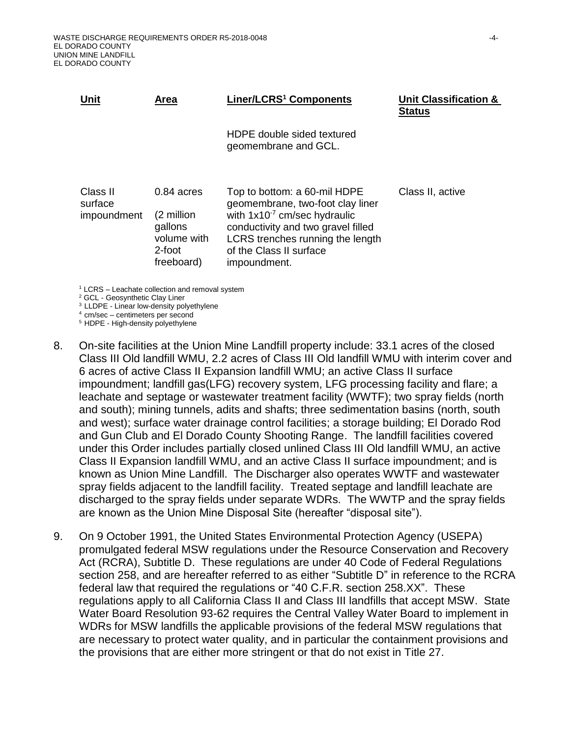| <b>Unit</b>                        | Area                                                                         | Liner/LCRS <sup>1</sup> Components                                                                                                                                                                                         | <b>Unit Classification &amp;</b><br><b>Status</b> |
|------------------------------------|------------------------------------------------------------------------------|----------------------------------------------------------------------------------------------------------------------------------------------------------------------------------------------------------------------------|---------------------------------------------------|
|                                    |                                                                              | HDPE double sided textured<br>geomembrane and GCL.                                                                                                                                                                         |                                                   |
| Class II<br>surface<br>impoundment | $0.84$ acres<br>(2 million<br>gallons<br>volume with<br>2-foot<br>freeboard) | Top to bottom: a 60-mil HDPE<br>geomembrane, two-foot clay liner<br>with $1x10^{-7}$ cm/sec hydraulic<br>conductivity and two gravel filled<br>LCRS trenches running the length<br>of the Class II surface<br>impoundment. | Class II, active                                  |

 $1$  LCRS – Leachate collection and removal system

<sup>2</sup> GCL - Geosynthetic Clay Liner

<sup>3</sup>LLDPE - Linear low-density polyethylene

 $4$  cm/sec – centimeters per second

<sup>5</sup> HDPE - High-density polyethylene

- 8. On-site facilities at the Union Mine Landfill property include: 33.1 acres of the closed Class III Old landfill WMU, 2.2 acres of Class III Old landfill WMU with interim cover and 6 acres of active Class II Expansion landfill WMU; an active Class II surface impoundment; landfill gas(LFG) recovery system, LFG processing facility and flare; a leachate and septage or wastewater treatment facility (WWTF); two spray fields (north and south); mining tunnels, adits and shafts; three sedimentation basins (north, south and west); surface water drainage control facilities; a storage building; El Dorado Rod and Gun Club and El Dorado County Shooting Range. The landfill facilities covered under this Order includes partially closed unlined Class III Old landfill WMU, an active Class II Expansion landfill WMU, and an active Class II surface impoundment; and is known as Union Mine Landfill. The Discharger also operates WWTF and wastewater spray fields adjacent to the landfill facility. Treated septage and landfill leachate are discharged to the spray fields under separate WDRs. The WWTP and the spray fields are known as the Union Mine Disposal Site (hereafter "disposal site").
- 9. On 9 October 1991, the United States Environmental Protection Agency (USEPA) promulgated federal MSW regulations under the Resource Conservation and Recovery Act (RCRA), Subtitle D. These regulations are under 40 Code of Federal Regulations section 258, and are hereafter referred to as either "Subtitle D" in reference to the RCRA federal law that required the regulations or "40 C.F.R. section 258.XX". These regulations apply to all California Class II and Class III landfills that accept MSW. State Water Board Resolution 93-62 requires the Central Valley Water Board to implement in WDRs for MSW landfills the applicable provisions of the federal MSW regulations that are necessary to protect water quality, and in particular the containment provisions and the provisions that are either more stringent or that do not exist in Title 27.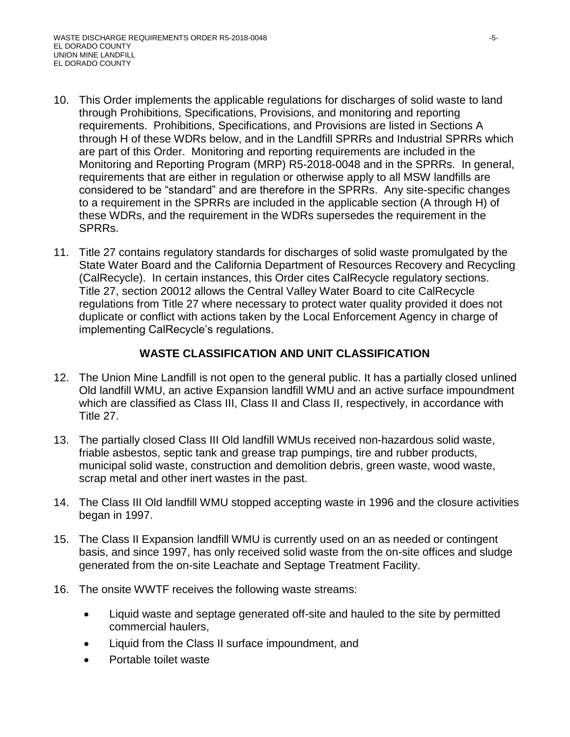- 10. This Order implements the applicable regulations for discharges of solid waste to land through Prohibitions, Specifications, Provisions, and monitoring and reporting requirements. Prohibitions, Specifications, and Provisions are listed in Sections A through H of these WDRs below, and in the Landfill SPRRs and Industrial SPRRs which are part of this Order. Monitoring and reporting requirements are included in the Monitoring and Reporting Program (MRP) R5-2018-0048 and in the SPRRs. In general, requirements that are either in regulation or otherwise apply to all MSW landfills are considered to be "standard" and are therefore in the SPRRs. Any site-specific changes to a requirement in the SPRRs are included in the applicable section (A through H) of these WDRs, and the requirement in the WDRs supersedes the requirement in the SPRRs.
- 11. Title 27 contains regulatory standards for discharges of solid waste promulgated by the State Water Board and the California Department of Resources Recovery and Recycling (CalRecycle). In certain instances, this Order cites CalRecycle regulatory sections. Title 27, section 20012 allows the Central Valley Water Board to cite CalRecycle regulations from Title 27 where necessary to protect water quality provided it does not duplicate or conflict with actions taken by the Local Enforcement Agency in charge of implementing CalRecycle's regulations.

# **WASTE CLASSIFICATION AND UNIT CLASSIFICATION**

- 12. The Union Mine Landfill is not open to the general public. It has a partially closed unlined Old landfill WMU, an active Expansion landfill WMU and an active surface impoundment which are classified as Class III, Class II and Class II, respectively, in accordance with Title 27.
- 13. The partially closed Class III Old landfill WMUs received non-hazardous solid waste, friable asbestos, septic tank and grease trap pumpings, tire and rubber products, municipal solid waste, construction and demolition debris, green waste, wood waste, scrap metal and other inert wastes in the past.
- 14. The Class III Old landfill WMU stopped accepting waste in 1996 and the closure activities began in 1997.
- 15. The Class II Expansion landfill WMU is currently used on an as needed or contingent basis, and since 1997, has only received solid waste from the on-site offices and sludge generated from the on-site Leachate and Septage Treatment Facility.
- 16. The onsite WWTF receives the following waste streams:
	- Liquid waste and septage generated off-site and hauled to the site by permitted commercial haulers,
	- Liquid from the Class II surface impoundment, and
	- Portable toilet waste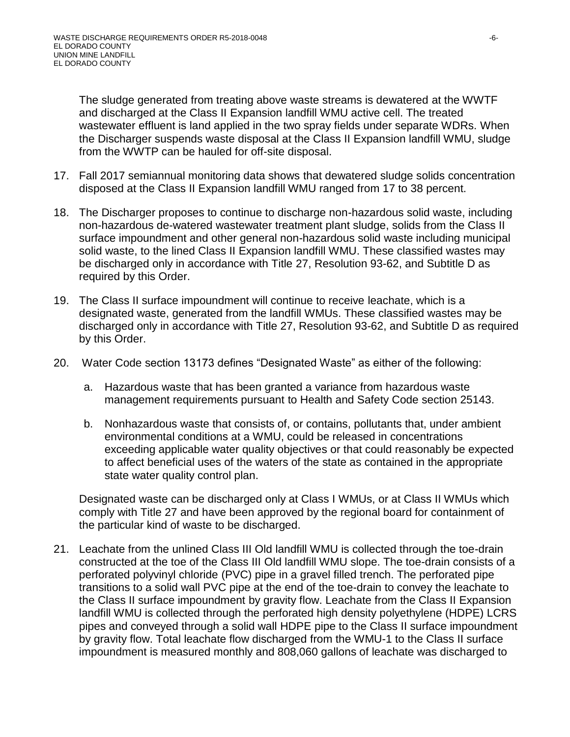The sludge generated from treating above waste streams is dewatered at the WWTF and discharged at the Class II Expansion landfill WMU active cell. The treated wastewater effluent is land applied in the two spray fields under separate WDRs. When the Discharger suspends waste disposal at the Class II Expansion landfill WMU, sludge from the WWTP can be hauled for off-site disposal.

- 17. Fall 2017 semiannual monitoring data shows that dewatered sludge solids concentration disposed at the Class II Expansion landfill WMU ranged from 17 to 38 percent.
- 18. The Discharger proposes to continue to discharge non-hazardous solid waste, including non-hazardous de-watered wastewater treatment plant sludge, solids from the Class II surface impoundment and other general non-hazardous solid waste including municipal solid waste, to the lined Class II Expansion landfill WMU. These classified wastes may be discharged only in accordance with Title 27, Resolution 93-62, and Subtitle D as required by this Order.
- 19. The Class II surface impoundment will continue to receive leachate, which is a designated waste, generated from the landfill WMUs. These classified wastes may be discharged only in accordance with Title 27, Resolution 93-62, and Subtitle D as required by this Order.
- 20. Water Code section 13173 defines "Designated Waste" as either of the following:
	- a. Hazardous waste that has been granted a variance from hazardous waste management requirements pursuant to Health and Safety Code section 25143.
	- b. Nonhazardous waste that consists of, or contains, pollutants that, under ambient environmental conditions at a WMU, could be released in concentrations exceeding applicable water quality objectives or that could reasonably be expected to affect beneficial uses of the waters of the state as contained in the appropriate state water quality control plan.

Designated waste can be discharged only at Class I WMUs, or at Class II WMUs which comply with Title 27 and have been approved by the regional board for containment of the particular kind of waste to be discharged.

21. Leachate from the unlined Class III Old landfill WMU is collected through the toe-drain constructed at the toe of the Class III Old landfill WMU slope. The toe-drain consists of a perforated polyvinyl chloride (PVC) pipe in a gravel filled trench. The perforated pipe transitions to a solid wall PVC pipe at the end of the toe-drain to convey the leachate to the Class II surface impoundment by gravity flow. Leachate from the Class II Expansion landfill WMU is collected through the perforated high density polyethylene (HDPE) LCRS pipes and conveyed through a solid wall HDPE pipe to the Class II surface impoundment by gravity flow. Total leachate flow discharged from the WMU-1 to the Class II surface impoundment is measured monthly and 808,060 gallons of leachate was discharged to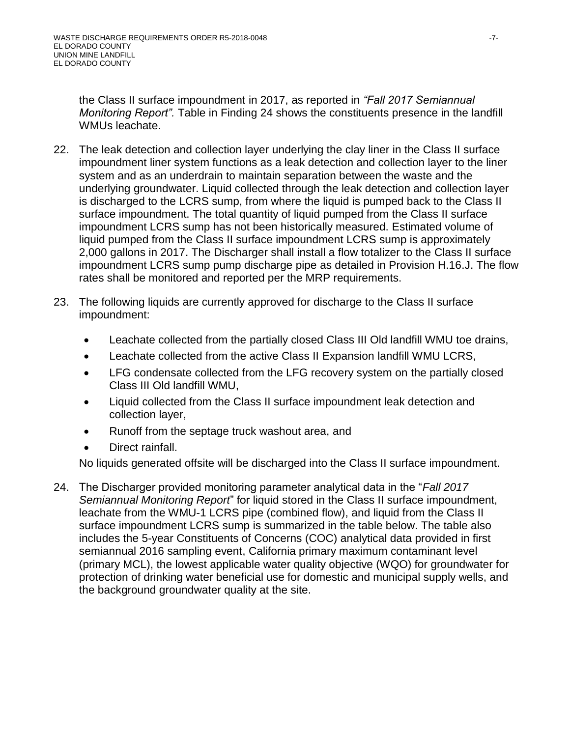the Class II surface impoundment in 2017, as reported in *"Fall 2017 Semiannual Monitoring Report".* Table in Finding 24 shows the constituents presence in the landfill WMUs leachate.

- 22. The leak detection and collection layer underlying the clay liner in the Class II surface impoundment liner system functions as a leak detection and collection layer to the liner system and as an underdrain to maintain separation between the waste and the underlying groundwater. Liquid collected through the leak detection and collection layer is discharged to the LCRS sump, from where the liquid is pumped back to the Class II surface impoundment. The total quantity of liquid pumped from the Class II surface impoundment LCRS sump has not been historically measured. Estimated volume of liquid pumped from the Class II surface impoundment LCRS sump is approximately 2,000 gallons in 2017. The Discharger shall install a flow totalizer to the Class II surface impoundment LCRS sump pump discharge pipe as detailed in Provision H.16.J. The flow rates shall be monitored and reported per the MRP requirements.
- 23. The following liquids are currently approved for discharge to the Class II surface impoundment:
	- Leachate collected from the partially closed Class III Old landfill WMU toe drains,
	- Leachate collected from the active Class II Expansion landfill WMU LCRS,
	- LFG condensate collected from the LFG recovery system on the partially closed Class III Old landfill WMU,
	- Liquid collected from the Class II surface impoundment leak detection and collection layer,
	- Runoff from the septage truck washout area, and
	- Direct rainfall.

No liquids generated offsite will be discharged into the Class II surface impoundment.

24. The Discharger provided monitoring parameter analytical data in the "*Fall 2017 Semiannual Monitoring Report*" for liquid stored in the Class II surface impoundment, leachate from the WMU-1 LCRS pipe (combined flow), and liquid from the Class II surface impoundment LCRS sump is summarized in the table below. The table also includes the 5-year Constituents of Concerns (COC) analytical data provided in first semiannual 2016 sampling event, California primary maximum contaminant level (primary MCL), the lowest applicable water quality objective (WQO) for groundwater for protection of drinking water beneficial use for domestic and municipal supply wells, and the background groundwater quality at the site.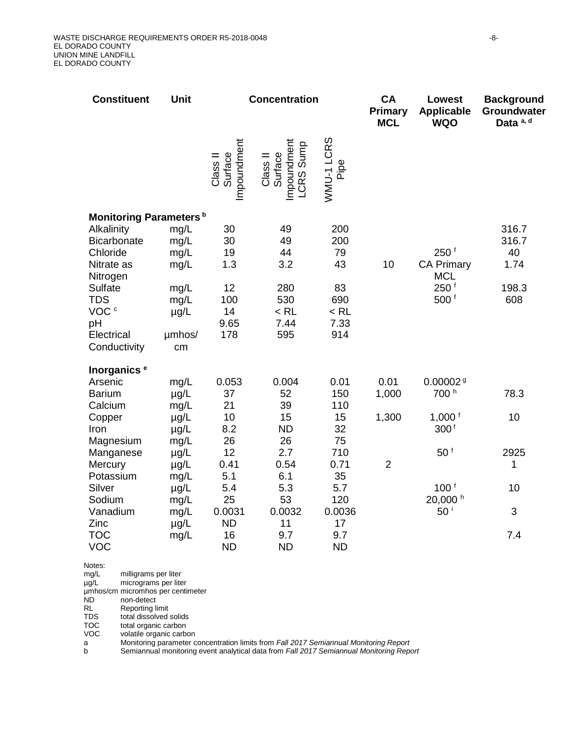| <b>Constituent</b>                                                                                                                                      | Unit                                                                      | <b>Concentration</b>                                    |                                                              | CA<br><b>Primary</b><br><b>MCL</b>                           | <b>Lowest</b><br><b>Applicable</b><br><b>WQO</b> | <b>Background</b><br>Groundwater<br>Data a, d                                               |                                              |
|---------------------------------------------------------------------------------------------------------------------------------------------------------|---------------------------------------------------------------------------|---------------------------------------------------------|--------------------------------------------------------------|--------------------------------------------------------------|--------------------------------------------------|---------------------------------------------------------------------------------------------|----------------------------------------------|
|                                                                                                                                                         |                                                                           | Impoundment<br>Class II<br>Surface                      | Impoundment<br><b>LCRS</b> Sump<br>Surface<br>Class II       | WMU-1 LCRS<br>Pipe                                           |                                                  |                                                                                             |                                              |
| Monitoring Parameters <sup>b</sup>                                                                                                                      |                                                                           |                                                         |                                                              |                                                              |                                                  |                                                                                             |                                              |
| Alkalinity<br><b>Bicarbonate</b><br>Chloride<br>Nitrate as<br>Nitrogen<br>Sulfate<br><b>TDS</b><br>VOC <sup>c</sup><br>pH<br>Electrical<br>Conductivity | mg/L<br>mg/L<br>mg/L<br>mg/L<br>mg/L<br>mg/L<br>$\mu$ g/L<br>umhos/<br>cm | 30<br>30<br>19<br>1.3<br>12<br>100<br>14<br>9.65<br>178 | 49<br>49<br>44<br>3.2<br>280<br>530<br>$<$ RL<br>7.44<br>595 | 200<br>200<br>79<br>43<br>83<br>690<br>$<$ RL<br>7.33<br>914 | 10                                               | 250 <sup>†</sup><br><b>CA Primary</b><br><b>MCL</b><br>250 <sup>f</sup><br>500 <sup>f</sup> | 316.7<br>316.7<br>40<br>1.74<br>198.3<br>608 |
| Inorganics <sup>e</sup><br>Arsenic                                                                                                                      |                                                                           | 0.053                                                   | 0.004                                                        | 0.01                                                         | 0.01                                             | 0.000029                                                                                    |                                              |
| <b>Barium</b>                                                                                                                                           | mg/L<br>$\mu$ g/L                                                         | 37                                                      | 52                                                           | 150                                                          | 1,000                                            | 700 <sup>h</sup>                                                                            | 78.3                                         |
| Calcium                                                                                                                                                 | mg/L                                                                      | 21                                                      | 39                                                           | 110                                                          |                                                  |                                                                                             |                                              |
| Copper<br>Iron<br>Magnesium                                                                                                                             | $\mu$ g/L<br>$\mu$ g/L<br>mg/L                                            | 10<br>8.2<br>26                                         | 15<br><b>ND</b><br>26                                        | 15<br>32<br>75                                               | 1,300                                            | 1,000 $1$<br>300 <sup>f</sup>                                                               | 10                                           |
| Manganese                                                                                                                                               | $\mu$ g/L                                                                 | 12                                                      | 2.7                                                          | 710                                                          |                                                  | 50 <sup>†</sup>                                                                             | 2925                                         |
| Mercury                                                                                                                                                 | $\mu$ g/L                                                                 | 0.41                                                    | 0.54                                                         | 0.71                                                         | $\overline{2}$                                   |                                                                                             | 1                                            |
| Potassium<br>Silver                                                                                                                                     | mg/L                                                                      | 5.1                                                     | 6.1                                                          | 35                                                           |                                                  | 100 <sup>1</sup>                                                                            |                                              |
| Sodium                                                                                                                                                  | $\mu$ g/L<br>mg/L                                                         | 5.4<br>25                                               | 5.3<br>53                                                    | 5.7<br>120                                                   |                                                  | 20,000 h                                                                                    | 10                                           |
| Vanadium                                                                                                                                                | mg/L                                                                      | 0.0031                                                  | 0.0032                                                       | 0.0036                                                       |                                                  | 50 <sup>i</sup>                                                                             | 3                                            |
| Zinc                                                                                                                                                    | $\mu$ g/L                                                                 | <b>ND</b>                                               | 11                                                           | 17                                                           |                                                  |                                                                                             |                                              |
| <b>TOC</b><br><b>VOC</b>                                                                                                                                | mg/L                                                                      | 16<br><b>ND</b>                                         | 9.7<br><b>ND</b>                                             | 9.7<br><b>ND</b>                                             |                                                  |                                                                                             | 7.4                                          |
| Notes:<br>mg/L<br>milligrams per liter                                                                                                                  |                                                                           |                                                         |                                                              |                                                              |                                                  |                                                                                             |                                              |

µg/L micrograms per liter

µmhos/cm micromhos per centimeter

ND non-detect<br>RL Reporting I

RL Reporting limit<br>TDS total dissolved

TDS total dissolved solids<br>TOC total organic carbon

TOC total organic carbon<br>VOC volatile organic carbo volatile organic carbon

a Monitoring parameter concentration limits from *Fall 2017 Semiannual Monitoring Report*

b Semiannual monitoring event analytical data from *Fall 2017 Semiannual Monitoring Report*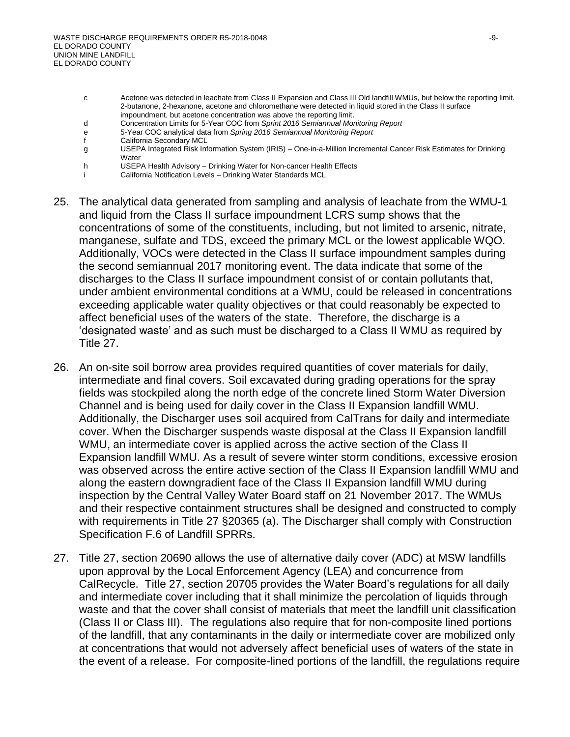- c Acetone was detected in leachate from Class II Expansion and Class III Old landfill WMUs, but below the reporting limit. 2-butanone, 2-hexanone, acetone and chloromethane were detected in liquid stored in the Class II surface impoundment, but acetone concentration was above the reporting limit.
- d Concentration Limits for 5-Year COC from *Sprint 2016 Semiannual Monitoring Report*
- e 5-Year COC analytical data from *Spring 2016 Semiannual Monitoring Report*
- f California Secondary MCL
- g USEPA Integrated Risk Information System (IRIS) One-in-a-Million Incremental Cancer Risk Estimates for Drinking **Water**
- h USEPA Health Advisory Drinking Water for Non-cancer Health Effects
- i California Notification Levels Drinking Water Standards MCL
- 25. The analytical data generated from sampling and analysis of leachate from the WMU-1 and liquid from the Class II surface impoundment LCRS sump shows that the concentrations of some of the constituents, including, but not limited to arsenic, nitrate, manganese, sulfate and TDS, exceed the primary MCL or the lowest applicable WQO. Additionally, VOCs were detected in the Class II surface impoundment samples during the second semiannual 2017 monitoring event. The data indicate that some of the discharges to the Class II surface impoundment consist of or contain pollutants that, under ambient environmental conditions at a WMU, could be released in concentrations exceeding applicable water quality objectives or that could reasonably be expected to affect beneficial uses of the waters of the state. Therefore, the discharge is a 'designated waste' and as such must be discharged to a Class II WMU as required by Title 27.
- 26. An on-site soil borrow area provides required quantities of cover materials for daily, intermediate and final covers. Soil excavated during grading operations for the spray fields was stockpiled along the north edge of the concrete lined Storm Water Diversion Channel and is being used for daily cover in the Class II Expansion landfill WMU. Additionally, the Discharger uses soil acquired from CalTrans for daily and intermediate cover. When the Discharger suspends waste disposal at the Class II Expansion landfill WMU, an intermediate cover is applied across the active section of the Class II Expansion landfill WMU. As a result of severe winter storm conditions, excessive erosion was observed across the entire active section of the Class II Expansion landfill WMU and along the eastern downgradient face of the Class II Expansion landfill WMU during inspection by the Central Valley Water Board staff on 21 November 2017. The WMUs and their respective containment structures shall be designed and constructed to comply with requirements in Title 27 §20365 (a). The Discharger shall comply with Construction Specification F.6 of Landfill SPRRs.
- 27. Title 27, section 20690 allows the use of alternative daily cover (ADC) at MSW landfills upon approval by the Local Enforcement Agency (LEA) and concurrence from CalRecycle. Title 27, section 20705 provides the Water Board's regulations for all daily and intermediate cover including that it shall minimize the percolation of liquids through waste and that the cover shall consist of materials that meet the landfill unit classification (Class II or Class III). The regulations also require that for non-composite lined portions of the landfill, that any contaminants in the daily or intermediate cover are mobilized only at concentrations that would not adversely affect beneficial uses of waters of the state in the event of a release. For composite-lined portions of the landfill, the regulations require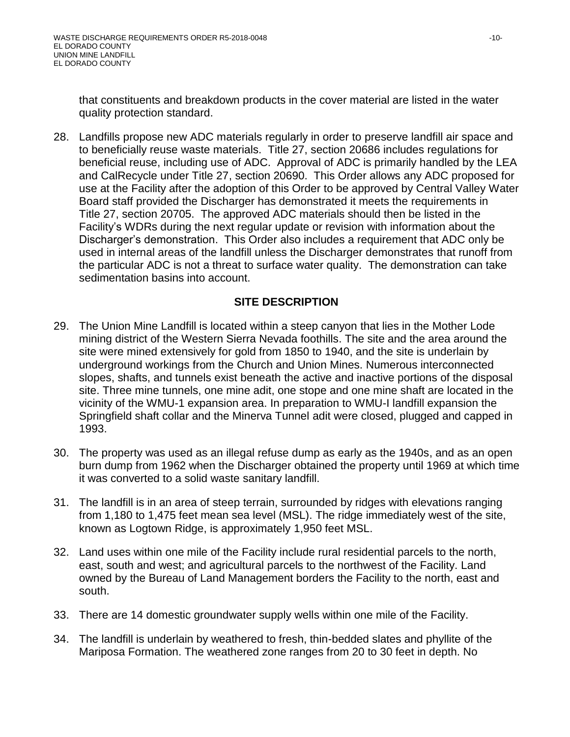that constituents and breakdown products in the cover material are listed in the water quality protection standard.

28. Landfills propose new ADC materials regularly in order to preserve landfill air space and to beneficially reuse waste materials. Title 27, section 20686 includes regulations for beneficial reuse, including use of ADC. Approval of ADC is primarily handled by the LEA and CalRecycle under Title 27, section 20690. This Order allows any ADC proposed for use at the Facility after the adoption of this Order to be approved by Central Valley Water Board staff provided the Discharger has demonstrated it meets the requirements in Title 27, section 20705. The approved ADC materials should then be listed in the Facility's WDRs during the next regular update or revision with information about the Discharger's demonstration. This Order also includes a requirement that ADC only be used in internal areas of the landfill unless the Discharger demonstrates that runoff from the particular ADC is not a threat to surface water quality. The demonstration can take sedimentation basins into account.

# **SITE DESCRIPTION**

- 29. The Union Mine Landfill is located within a steep canyon that lies in the Mother Lode mining district of the Western Sierra Nevada foothills. The site and the area around the site were mined extensively for gold from 1850 to 1940, and the site is underlain by underground workings from the Church and Union Mines. Numerous interconnected slopes, shafts, and tunnels exist beneath the active and inactive portions of the disposal site. Three mine tunnels, one mine adit, one stope and one mine shaft are located in the vicinity of the WMU-1 expansion area. In preparation to WMU-I landfill expansion the Springfield shaft collar and the Minerva Tunnel adit were closed, plugged and capped in 1993.
- 30. The property was used as an illegal refuse dump as early as the 1940s, and as an open burn dump from 1962 when the Discharger obtained the property until 1969 at which time it was converted to a solid waste sanitary landfill.
- 31. The landfill is in an area of steep terrain, surrounded by ridges with elevations ranging from 1,180 to 1,475 feet mean sea level (MSL). The ridge immediately west of the site, known as Logtown Ridge, is approximately 1,950 feet MSL.
- 32. Land uses within one mile of the Facility include rural residential parcels to the north, east, south and west; and agricultural parcels to the northwest of the Facility. Land owned by the Bureau of Land Management borders the Facility to the north, east and south.
- 33. There are 14 domestic groundwater supply wells within one mile of the Facility.
- 34. The landfill is underlain by weathered to fresh, thin-bedded slates and phyllite of the Mariposa Formation. The weathered zone ranges from 20 to 30 feet in depth. No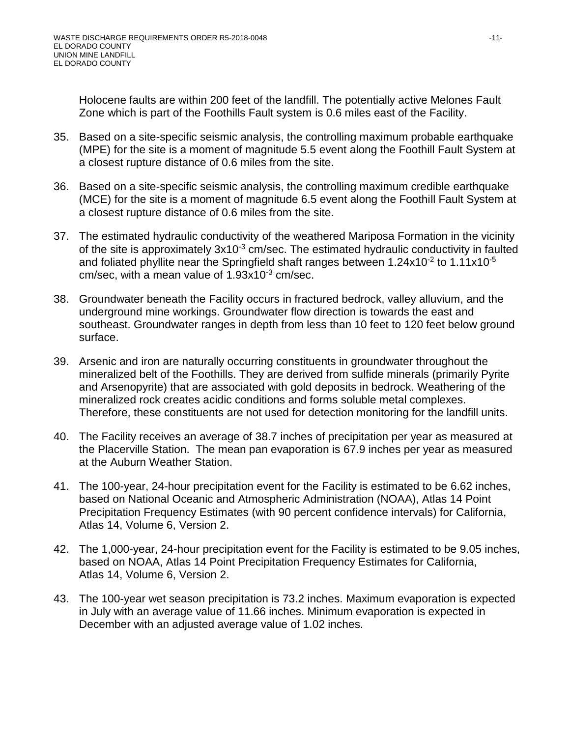Holocene faults are within 200 feet of the landfill. The potentially active Melones Fault Zone which is part of the Foothills Fault system is 0.6 miles east of the Facility.

- 35. Based on a site-specific seismic analysis, the controlling maximum probable earthquake (MPE) for the site is a moment of magnitude 5.5 event along the Foothill Fault System at a closest rupture distance of 0.6 miles from the site.
- 36. Based on a site-specific seismic analysis, the controlling maximum credible earthquake (MCE) for the site is a moment of magnitude 6.5 event along the Foothill Fault System at a closest rupture distance of 0.6 miles from the site.
- 37. The estimated hydraulic conductivity of the weathered Mariposa Formation in the vicinity of the site is approximately  $3x10^{-3}$  cm/sec. The estimated hydraulic conductivity in faulted and foliated phyllite near the Springfield shaft ranges between 1.24x10<sup>-2</sup> to 1.11x10<sup>-5</sup> cm/sec, with a mean value of  $1.93x10^{-3}$  cm/sec.
- 38. Groundwater beneath the Facility occurs in fractured bedrock, valley alluvium, and the underground mine workings. Groundwater flow direction is towards the east and southeast. Groundwater ranges in depth from less than 10 feet to 120 feet below ground surface.
- 39. Arsenic and iron are naturally occurring constituents in groundwater throughout the mineralized belt of the Foothills. They are derived from sulfide minerals (primarily Pyrite and Arsenopyrite) that are associated with gold deposits in bedrock. Weathering of the mineralized rock creates acidic conditions and forms soluble metal complexes. Therefore, these constituents are not used for detection monitoring for the landfill units.
- 40. The Facility receives an average of 38.7 inches of precipitation per year as measured at the Placerville Station. The mean pan evaporation is 67.9 inches per year as measured at the Auburn Weather Station.
- 41. The 100-year, 24-hour precipitation event for the Facility is estimated to be 6.62 inches, based on National Oceanic and Atmospheric Administration (NOAA), Atlas 14 Point Precipitation Frequency Estimates (with 90 percent confidence intervals) for California, Atlas 14, Volume 6, Version 2.
- 42. The 1,000-year, 24-hour precipitation event for the Facility is estimated to be 9.05 inches, based on NOAA, Atlas 14 Point Precipitation Frequency Estimates for California, Atlas 14, Volume 6, Version 2.
- 43. The 100-year wet season precipitation is 73.2 inches. Maximum evaporation is expected in July with an average value of 11.66 inches. Minimum evaporation is expected in December with an adjusted average value of 1.02 inches.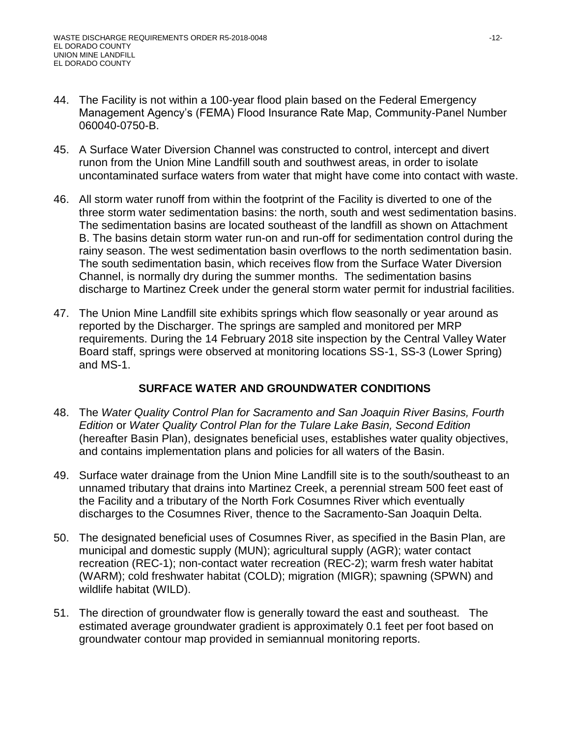- 44. The Facility is not within a 100-year flood plain based on the Federal Emergency Management Agency's (FEMA) Flood Insurance Rate Map, Community-Panel Number 060040-0750-B.
- 45. A Surface Water Diversion Channel was constructed to control, intercept and divert runon from the Union Mine Landfill south and southwest areas, in order to isolate uncontaminated surface waters from water that might have come into contact with waste.
- 46. All storm water runoff from within the footprint of the Facility is diverted to one of the three storm water sedimentation basins: the north, south and west sedimentation basins. The sedimentation basins are located southeast of the landfill as shown on Attachment B. The basins detain storm water run-on and run-off for sedimentation control during the rainy season. The west sedimentation basin overflows to the north sedimentation basin. The south sedimentation basin, which receives flow from the Surface Water Diversion Channel, is normally dry during the summer months. The sedimentation basins discharge to Martinez Creek under the general storm water permit for industrial facilities.
- 47. The Union Mine Landfill site exhibits springs which flow seasonally or year around as reported by the Discharger. The springs are sampled and monitored per MRP requirements. During the 14 February 2018 site inspection by the Central Valley Water Board staff, springs were observed at monitoring locations SS-1, SS-3 (Lower Spring) and MS-1.

# **SURFACE WATER AND GROUNDWATER CONDITIONS**

- 48. The *Water Quality Control Plan for Sacramento and San Joaquin River Basins, Fourth Edition* or *Water Quality Control Plan for the Tulare Lake Basin, Second Edition* (hereafter Basin Plan), designates beneficial uses, establishes water quality objectives, and contains implementation plans and policies for all waters of the Basin.
- 49. Surface water drainage from the Union Mine Landfill site is to the south/southeast to an unnamed tributary that drains into Martinez Creek, a perennial stream 500 feet east of the Facility and a tributary of the North Fork Cosumnes River which eventually discharges to the Cosumnes River, thence to the Sacramento-San Joaquin Delta.
- 50. The designated beneficial uses of Cosumnes River, as specified in the Basin Plan, are municipal and domestic supply (MUN); agricultural supply (AGR); water contact recreation (REC-1); non-contact water recreation (REC-2); warm fresh water habitat (WARM); cold freshwater habitat (COLD); migration (MIGR); spawning (SPWN) and wildlife habitat (WILD).
- 51. The direction of groundwater flow is generally toward the east and southeast. The estimated average groundwater gradient is approximately 0.1 feet per foot based on groundwater contour map provided in semiannual monitoring reports.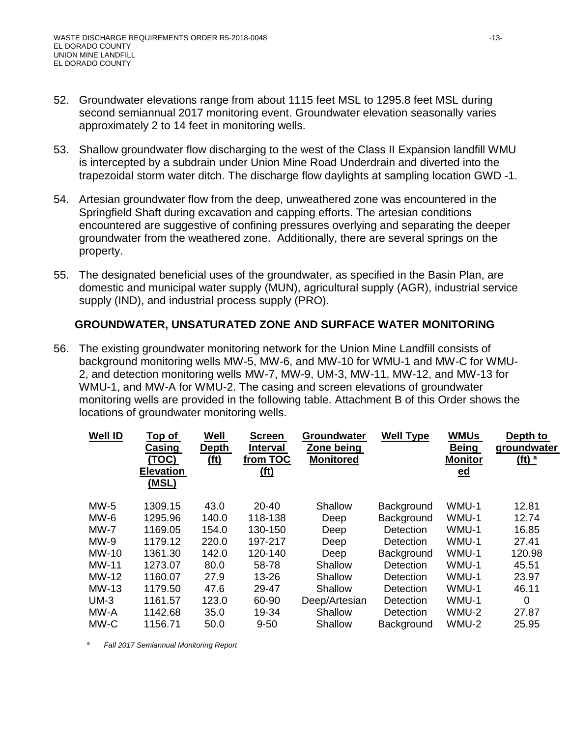- 52. Groundwater elevations range from about 1115 feet MSL to 1295.8 feet MSL during second semiannual 2017 monitoring event. Groundwater elevation seasonally varies approximately 2 to 14 feet in monitoring wells.
- 53. Shallow groundwater flow discharging to the west of the Class II Expansion landfill WMU is intercepted by a subdrain under Union Mine Road Underdrain and diverted into the trapezoidal storm water ditch. The discharge flow daylights at sampling location GWD -1.
- 54. Artesian groundwater flow from the deep, unweathered zone was encountered in the Springfield Shaft during excavation and capping efforts. The artesian conditions encountered are suggestive of confining pressures overlying and separating the deeper groundwater from the weathered zone. Additionally, there are several springs on the property.
- 55. The designated beneficial uses of the groundwater, as specified in the Basin Plan, are domestic and municipal water supply (MUN), agricultural supply (AGR), industrial service supply (IND), and industrial process supply (PRO).

#### **GROUNDWATER, UNSATURATED ZONE AND SURFACE WATER MONITORING**

56. The existing groundwater monitoring network for the Union Mine Landfill consists of background monitoring wells MW-5, MW-6, and MW-10 for WMU-1 and MW-C for WMU-2, and detection monitoring wells MW-7, MW-9, UM-3, MW-11, MW-12, and MW-13 for WMU-1, and MW-A for WMU-2. The casing and screen elevations of groundwater monitoring wells are provided in the following table. Attachment B of this Order shows the locations of groundwater monitoring wells.

| <u>Top of</u><br>Casing<br><u>(TOC)</u><br><b>Elevation</b><br>(MSL) | Well<br><b>Depth</b><br><u>(ft)</u> | <b>Screen</b><br><b>Interval</b><br>from TOC<br><u>(ft)</u> | Groundwater<br>Zone being<br><b>Monitored</b> | <b>Well Type</b> | <b>WMUs</b><br><b>Being</b><br><b>Monitor</b><br>$ed$ | Depth to<br>groundwater<br>( <b>ft</b> ) <sup>a</sup> |
|----------------------------------------------------------------------|-------------------------------------|-------------------------------------------------------------|-----------------------------------------------|------------------|-------------------------------------------------------|-------------------------------------------------------|
| 1309.15                                                              | 43.0                                | 20-40                                                       | Shallow                                       | Background       | WMU-1                                                 | 12.81                                                 |
| 1295.96                                                              | 140.0                               | 118-138                                                     | Deep                                          | Background       | WMU-1                                                 | 12.74                                                 |
| 1169.05                                                              | 154.0                               | 130-150                                                     | Deep                                          | Detection        | WMU-1                                                 | 16.85                                                 |
| 1179.12                                                              | 220.0                               | 197-217                                                     | Deep                                          | <b>Detection</b> | WMU-1                                                 | 27.41                                                 |
| 1361.30                                                              | 142.0                               | 120-140                                                     | Deep                                          | Background       | WMU-1                                                 | 120.98                                                |
| 1273.07                                                              | 80.0                                | 58-78                                                       | Shallow                                       | Detection        | WMU-1                                                 | 45.51                                                 |
| 1160.07                                                              | 27.9                                | 13-26                                                       | Shallow                                       | Detection        | WMU-1                                                 | 23.97                                                 |
| 1179.50                                                              | 47.6                                | 29-47                                                       | Shallow                                       | Detection        | WMU-1                                                 | 46.11                                                 |
| 1161.57                                                              | 123.0                               | 60-90                                                       | Deep/Artesian                                 | Detection        | WMU-1                                                 | 0                                                     |
| 1142.68                                                              | 35.0                                | 19-34                                                       | Shallow                                       | Detection        | WMU-2                                                 | 27.87                                                 |
| 1156.71                                                              | 50.0                                | $9 - 50$                                                    | Shallow                                       | Background       | WMU-2                                                 | 25.95                                                 |
|                                                                      |                                     |                                                             |                                               |                  |                                                       |                                                       |

<sup>a</sup> *Fall 2017 Semiannual Monitoring Report*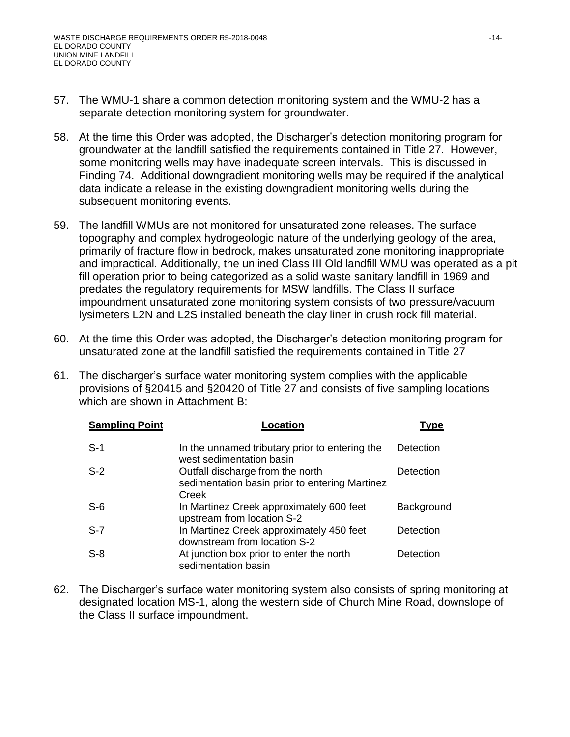- 57. The WMU-1 share a common detection monitoring system and the WMU-2 has a separate detection monitoring system for groundwater.
- 58. At the time this Order was adopted, the Discharger's detection monitoring program for groundwater at the landfill satisfied the requirements contained in Title 27. However, some monitoring wells may have inadequate screen intervals. This is discussed in Finding 74. Additional downgradient monitoring wells may be required if the analytical data indicate a release in the existing downgradient monitoring wells during the subsequent monitoring events.
- 59. The landfill WMUs are not monitored for unsaturated zone releases. The surface topography and complex hydrogeologic nature of the underlying geology of the area, primarily of fracture flow in bedrock, makes unsaturated zone monitoring inappropriate and impractical. Additionally, the unlined Class III Old landfill WMU was operated as a pit fill operation prior to being categorized as a solid waste sanitary landfill in 1969 and predates the regulatory requirements for MSW landfills. The Class II surface impoundment unsaturated zone monitoring system consists of two pressure/vacuum lysimeters L2N and L2S installed beneath the clay liner in crush rock fill material.
- 60. At the time this Order was adopted, the Discharger's detection monitoring program for unsaturated zone at the landfill satisfied the requirements contained in Title 27
- 61. The discharger's surface water monitoring system complies with the applicable provisions of §20415 and §20420 of Title 27 and consists of five sampling locations which are shown in Attachment B:

| <b>Sampling Point</b> | <b>_ocation</b>                                                                             | <b>Type</b> |
|-----------------------|---------------------------------------------------------------------------------------------|-------------|
| $S-1$                 | In the unnamed tributary prior to entering the<br>west sedimentation basin                  | Detection   |
| $S-2$                 | Outfall discharge from the north<br>sedimentation basin prior to entering Martinez<br>Creek | Detection   |
| $S-6$                 | In Martinez Creek approximately 600 feet<br>upstream from location S-2                      | Background  |
| $S-7$                 | In Martinez Creek approximately 450 feet<br>downstream from location S-2                    | Detection   |
| $S-8$                 | At junction box prior to enter the north<br>sedimentation basin                             | Detection   |

62. The Discharger's surface water monitoring system also consists of spring monitoring at designated location MS-1, along the western side of Church Mine Road, downslope of the Class II surface impoundment.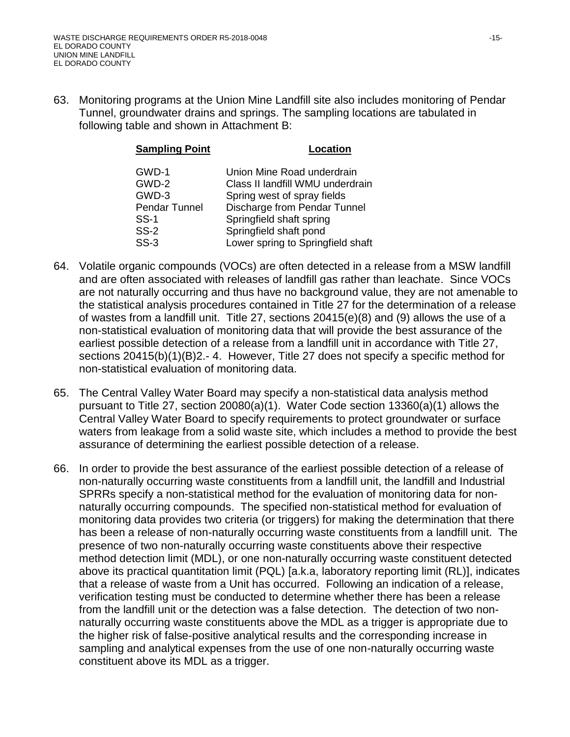63. Monitoring programs at the Union Mine Landfill site also includes monitoring of Pendar Tunnel, groundwater drains and springs. The sampling locations are tabulated in following table and shown in Attachment B:

| <b>Sampling Point</b> | Location                          |
|-----------------------|-----------------------------------|
| GWD-1                 | Union Mine Road underdrain        |
| GWD-2                 | Class II landfill WMU underdrain  |
| GWD-3                 | Spring west of spray fields       |
| Pendar Tunnel         | Discharge from Pendar Tunnel      |
| SS-1                  | Springfield shaft spring          |
| $SS-2$                | Springfield shaft pond            |
| $SS-3$                | Lower spring to Springfield shaft |

- 64. Volatile organic compounds (VOCs) are often detected in a release from a MSW landfill and are often associated with releases of landfill gas rather than leachate. Since VOCs are not naturally occurring and thus have no background value, they are not amenable to the statistical analysis procedures contained in Title 27 for the determination of a release of wastes from a landfill unit. Title 27, sections 20415(e)(8) and (9) allows the use of a non-statistical evaluation of monitoring data that will provide the best assurance of the earliest possible detection of a release from a landfill unit in accordance with Title 27, sections 20415(b)(1)(B)2.- 4. However, Title 27 does not specify a specific method for non-statistical evaluation of monitoring data.
- 65. The Central Valley Water Board may specify a non-statistical data analysis method pursuant to Title 27, section 20080(a)(1). Water Code section 13360(a)(1) allows the Central Valley Water Board to specify requirements to protect groundwater or surface waters from leakage from a solid waste site, which includes a method to provide the best assurance of determining the earliest possible detection of a release.
- 66. In order to provide the best assurance of the earliest possible detection of a release of non-naturally occurring waste constituents from a landfill unit, the landfill and Industrial SPRRs specify a non-statistical method for the evaluation of monitoring data for nonnaturally occurring compounds. The specified non-statistical method for evaluation of monitoring data provides two criteria (or triggers) for making the determination that there has been a release of non-naturally occurring waste constituents from a landfill unit. The presence of two non-naturally occurring waste constituents above their respective method detection limit (MDL), or one non-naturally occurring waste constituent detected above its practical quantitation limit (PQL) [a.k.a, laboratory reporting limit (RL)], indicates that a release of waste from a Unit has occurred. Following an indication of a release, verification testing must be conducted to determine whether there has been a release from the landfill unit or the detection was a false detection. The detection of two nonnaturally occurring waste constituents above the MDL as a trigger is appropriate due to the higher risk of false-positive analytical results and the corresponding increase in sampling and analytical expenses from the use of one non-naturally occurring waste constituent above its MDL as a trigger.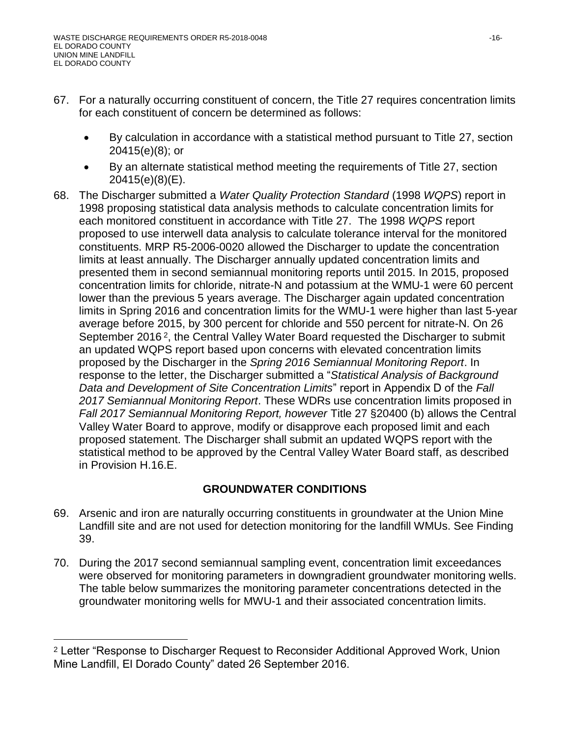$\overline{a}$ 

- 67. For a naturally occurring constituent of concern, the Title 27 requires concentration limits for each constituent of concern be determined as follows:
	- By calculation in accordance with a statistical method pursuant to Title 27, section 20415(e)(8); or
	- By an alternate statistical method meeting the requirements of Title 27, section 20415(e)(8)(E).
- 68. The Discharger submitted a *Water Quality Protection Standard* (1998 *WQPS*) report in 1998 proposing statistical data analysis methods to calculate concentration limits for each monitored constituent in accordance with Title 27. The 1998 *WQPS* report proposed to use interwell data analysis to calculate tolerance interval for the monitored constituents. MRP R5-2006-0020 allowed the Discharger to update the concentration limits at least annually. The Discharger annually updated concentration limits and presented them in second semiannual monitoring reports until 2015. In 2015, proposed concentration limits for chloride, nitrate-N and potassium at the WMU-1 were 60 percent lower than the previous 5 years average. The Discharger again updated concentration limits in Spring 2016 and concentration limits for the WMU-1 were higher than last 5-year average before 2015, by 300 percent for chloride and 550 percent for nitrate-N. On 26 September 2016 <sup>2</sup>, the Central Valley Water Board requested the Discharger to submit an updated WQPS report based upon concerns with elevated concentration limits proposed by the Discharger in the *Spring 2016 Semiannual Monitoring Report*. In response to the letter, the Discharger submitted a "*Statistical Analysis of Background Data and Development of Site Concentration Limits*" report in Appendix D of the *Fall 2017 Semiannual Monitoring Report*. These WDRs use concentration limits proposed in *Fall 2017 Semiannual Monitoring Report, however* Title 27 §20400 (b) allows the Central Valley Water Board to approve, modify or disapprove each proposed limit and each proposed statement. The Discharger shall submit an updated WQPS report with the statistical method to be approved by the Central Valley Water Board staff, as described in Provision H.16.E.

# **GROUNDWATER CONDITIONS**

- 69. Arsenic and iron are naturally occurring constituents in groundwater at the Union Mine Landfill site and are not used for detection monitoring for the landfill WMUs. See Finding 39.
- 70. During the 2017 second semiannual sampling event, concentration limit exceedances were observed for monitoring parameters in downgradient groundwater monitoring wells. The table below summarizes the monitoring parameter concentrations detected in the groundwater monitoring wells for MWU-1 and their associated concentration limits.

<sup>2</sup> Letter "Response to Discharger Request to Reconsider Additional Approved Work, Union Mine Landfill, El Dorado County" dated 26 September 2016.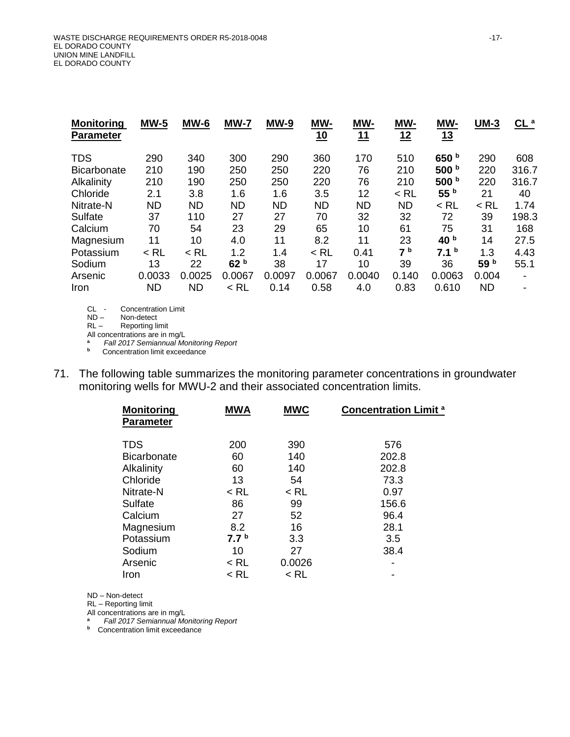| <b>Monitoring</b><br><b>Parameter</b> | <b>MW-5</b> | $MW-6$    | <b>MW-7</b>     | <b>MW-9</b> | <u>MW-</u><br><u>10</u> | MW-<br>11 | MW-<br><u>12</u> | <u>MW-</u><br><u>13</u> | $UM-3$    | $\underline{\mathsf{CL}}^a$ |
|---------------------------------------|-------------|-----------|-----------------|-------------|-------------------------|-----------|------------------|-------------------------|-----------|-----------------------------|
| <b>TDS</b>                            | 290         | 340       | 300             | 290         | 360                     | 170       | 510              | 650 b                   | 290       | 608                         |
| <b>Bicarbonate</b>                    | 210         | 190       | 250             | 250         | 220                     | 76        | 210              | 500 b                   | 220       | 316.7                       |
| Alkalinity                            | 210         | 190       | 250             | 250         | 220                     | 76        | 210              | 500 $b$                 | 220       | 316.7                       |
| Chloride                              | 2.1         | 3.8       | 1.6             | 1.6         | 3.5                     | 12        | $<$ RL           | 55 <sup>b</sup>         | 21        | 40                          |
| Nitrate-N                             | <b>ND</b>   | <b>ND</b> | <b>ND</b>       | <b>ND</b>   | <b>ND</b>               | <b>ND</b> | <b>ND</b>        | $<$ RL                  | $<$ RL    | 1.74                        |
| Sulfate                               | 37          | 110       | 27              | 27          | 70                      | 32        | 32               | 72                      | 39        | 198.3                       |
| Calcium                               | 70          | 54        | 23              | 29          | 65                      | 10        | 61               | 75                      | 31        | 168                         |
| Magnesium                             | 11          | 10        | 4.0             | 11          | 8.2                     | 11        | 23               | 40 <sup>b</sup>         | 14        | 27.5                        |
| Potassium                             | $<$ RL      | $<$ RL    | 1.2             | 1.4         | $<$ RL                  | 0.41      | 7 <sup>b</sup>   | 7.1 <sup>b</sup>        | 1.3       | 4.43                        |
| Sodium                                | 13          | 22        | 62 <sup>b</sup> | 38          | 17                      | 10        | 39               | 36                      | 59 b      | 55.1                        |
| Arsenic                               | 0.0033      | 0.0025    | 0.0067          | 0.0097      | 0.0067                  | 0.0040    | 0.140            | 0.0063                  | 0.004     | $\blacksquare$              |
| Iron                                  | ND          | <b>ND</b> | $<$ RL          | 0.14        | 0.58                    | 4.0       | 0.83             | 0.610                   | <b>ND</b> | $\overline{\phantom{0}}$    |

CL - Concentration Limit<br>ND - Non-detect

Non-detect

RL-<br>Reporting limit

All concentrations are in mg/L<br>a Fall 2017 Semiannual Mo

**<sup>a</sup>** *Fall 2017 Semiannual Monitoring Report* **b** Concentration limit exceedance

- 
- 71. The following table summarizes the monitoring parameter concentrations in groundwater monitoring wells for MWU-2 and their associated concentration limits.

| <b>Monitoring</b><br><b>Parameter</b> | <b>MWA</b>       | <b>MWC</b> | <b>Concentration Limit<sup>a</sup></b> |
|---------------------------------------|------------------|------------|----------------------------------------|
| <b>TDS</b>                            | 200              | 390        | 576                                    |
| <b>Bicarbonate</b>                    | 60               | 140        | 202.8                                  |
| Alkalinity                            | 60               | 140        | 202.8                                  |
| Chloride                              | 13               | 54         | 73.3                                   |
| Nitrate-N                             | $<$ RL           | < RL       | 0.97                                   |
| Sulfate                               | 86               | 99         | 156.6                                  |
| Calcium                               | 27               | 52         | 96.4                                   |
| Magnesium                             | 8.2              | 16         | 28.1                                   |
| Potassium                             | 7.7 <sup>b</sup> | 3.3        | 3.5                                    |
| Sodium                                | 10               | 27         | 38.4                                   |
| Arsenic                               | $<$ RL           | 0.0026     |                                        |
| Iron                                  | $<$ RL           | < RL       |                                        |

ND – Non-detect

RL – Reporting limit

All concentrations are in mg/L

**<sup>a</sup>** *Fall 2017 Semiannual Monitoring Report*

**b** Concentration limit exceedance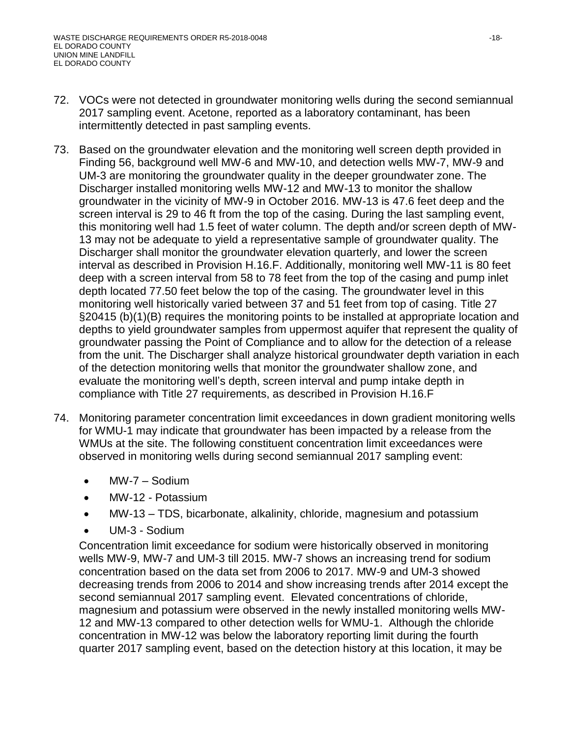- 72. VOCs were not detected in groundwater monitoring wells during the second semiannual 2017 sampling event. Acetone, reported as a laboratory contaminant, has been intermittently detected in past sampling events.
- 73. Based on the groundwater elevation and the monitoring well screen depth provided in Finding 56, background well MW-6 and MW-10, and detection wells MW-7, MW-9 and UM-3 are monitoring the groundwater quality in the deeper groundwater zone. The Discharger installed monitoring wells MW-12 and MW-13 to monitor the shallow groundwater in the vicinity of MW-9 in October 2016. MW-13 is 47.6 feet deep and the screen interval is 29 to 46 ft from the top of the casing. During the last sampling event, this monitoring well had 1.5 feet of water column. The depth and/or screen depth of MW-13 may not be adequate to yield a representative sample of groundwater quality. The Discharger shall monitor the groundwater elevation quarterly, and lower the screen interval as described in Provision H.16.F. Additionally, monitoring well MW-11 is 80 feet deep with a screen interval from 58 to 78 feet from the top of the casing and pump inlet depth located 77.50 feet below the top of the casing. The groundwater level in this monitoring well historically varied between 37 and 51 feet from top of casing. Title 27 §20415 (b)(1)(B) requires the monitoring points to be installed at appropriate location and depths to yield groundwater samples from uppermost aquifer that represent the quality of groundwater passing the Point of Compliance and to allow for the detection of a release from the unit. The Discharger shall analyze historical groundwater depth variation in each of the detection monitoring wells that monitor the groundwater shallow zone, and evaluate the monitoring well's depth, screen interval and pump intake depth in compliance with Title 27 requirements, as described in Provision H.16.F
- 74. Monitoring parameter concentration limit exceedances in down gradient monitoring wells for WMU-1 may indicate that groundwater has been impacted by a release from the WMUs at the site. The following constituent concentration limit exceedances were observed in monitoring wells during second semiannual 2017 sampling event:
	- MW-7 Sodium
	- MW-12 Potassium
	- MW-13 TDS, bicarbonate, alkalinity, chloride, magnesium and potassium
	- UM-3 Sodium

Concentration limit exceedance for sodium were historically observed in monitoring wells MW-9, MW-7 and UM-3 till 2015. MW-7 shows an increasing trend for sodium concentration based on the data set from 2006 to 2017. MW-9 and UM-3 showed decreasing trends from 2006 to 2014 and show increasing trends after 2014 except the second semiannual 2017 sampling event. Elevated concentrations of chloride, magnesium and potassium were observed in the newly installed monitoring wells MW-12 and MW-13 compared to other detection wells for WMU-1. Although the chloride concentration in MW-12 was below the laboratory reporting limit during the fourth quarter 2017 sampling event, based on the detection history at this location, it may be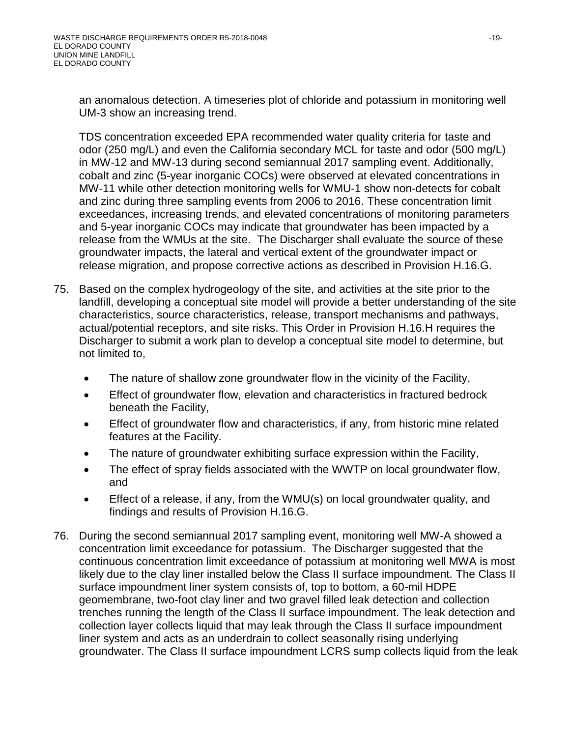an anomalous detection. A timeseries plot of chloride and potassium in monitoring well UM-3 show an increasing trend.

TDS concentration exceeded EPA recommended water quality criteria for taste and odor (250 mg/L) and even the California secondary MCL for taste and odor (500 mg/L) in MW-12 and MW-13 during second semiannual 2017 sampling event. Additionally, cobalt and zinc (5-year inorganic COCs) were observed at elevated concentrations in MW-11 while other detection monitoring wells for WMU-1 show non-detects for cobalt and zinc during three sampling events from 2006 to 2016. These concentration limit exceedances, increasing trends, and elevated concentrations of monitoring parameters and 5-year inorganic COCs may indicate that groundwater has been impacted by a release from the WMUs at the site. The Discharger shall evaluate the source of these groundwater impacts, the lateral and vertical extent of the groundwater impact or release migration, and propose corrective actions as described in Provision H.16.G.

- 75. Based on the complex hydrogeology of the site, and activities at the site prior to the landfill, developing a conceptual site model will provide a better understanding of the site characteristics, source characteristics, release, transport mechanisms and pathways, actual/potential receptors, and site risks. This Order in Provision H.16.H requires the Discharger to submit a work plan to develop a conceptual site model to determine, but not limited to,
	- The nature of shallow zone groundwater flow in the vicinity of the Facility,
	- Effect of groundwater flow, elevation and characteristics in fractured bedrock beneath the Facility,
	- Effect of groundwater flow and characteristics, if any, from historic mine related features at the Facility.
	- The nature of groundwater exhibiting surface expression within the Facility,
	- The effect of spray fields associated with the WWTP on local groundwater flow, and
	- Effect of a release, if any, from the WMU(s) on local groundwater quality, and findings and results of Provision H.16.G.
- 76. During the second semiannual 2017 sampling event, monitoring well MW-A showed a concentration limit exceedance for potassium. The Discharger suggested that the continuous concentration limit exceedance of potassium at monitoring well MWA is most likely due to the clay liner installed below the Class II surface impoundment. The Class II surface impoundment liner system consists of, top to bottom, a 60-mil HDPE geomembrane, two-foot clay liner and two gravel filled leak detection and collection trenches running the length of the Class II surface impoundment. The leak detection and collection layer collects liquid that may leak through the Class II surface impoundment liner system and acts as an underdrain to collect seasonally rising underlying groundwater. The Class II surface impoundment LCRS sump collects liquid from the leak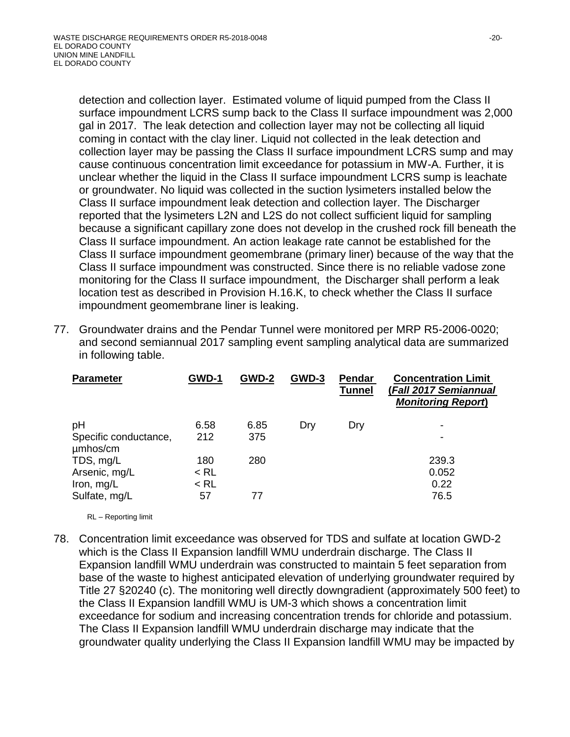detection and collection layer. Estimated volume of liquid pumped from the Class II surface impoundment LCRS sump back to the Class II surface impoundment was 2,000 gal in 2017. The leak detection and collection layer may not be collecting all liquid coming in contact with the clay liner. Liquid not collected in the leak detection and collection layer may be passing the Class II surface impoundment LCRS sump and may cause continuous concentration limit exceedance for potassium in MW-A. Further, it is unclear whether the liquid in the Class II surface impoundment LCRS sump is leachate or groundwater. No liquid was collected in the suction lysimeters installed below the Class II surface impoundment leak detection and collection layer. The Discharger reported that the lysimeters L2N and L2S do not collect sufficient liquid for sampling because a significant capillary zone does not develop in the crushed rock fill beneath the Class II surface impoundment. An action leakage rate cannot be established for the Class II surface impoundment geomembrane (primary liner) because of the way that the Class II surface impoundment was constructed. Since there is no reliable vadose zone monitoring for the Class II surface impoundment, the Discharger shall perform a leak location test as described in Provision H.16.K, to check whether the Class II surface impoundment geomembrane liner is leaking.

77. Groundwater drains and the Pendar Tunnel were monitored per MRP R5-2006-0020; and second semiannual 2017 sampling event sampling analytical data are summarized in following table.

| <b>Parameter</b>                  | GWD-1  | GWD-2 | GWD-3 | Pendar<br><b>Tunnel</b> | <b>Concentration Limit</b><br>(Fall 2017 Semiannual<br><b>Monitoring Report)</b> |
|-----------------------------------|--------|-------|-------|-------------------------|----------------------------------------------------------------------------------|
| pH                                | 6.58   | 6.85  | Dry   | Dry                     |                                                                                  |
| Specific conductance,<br>umhos/cm | 212    | 375   |       |                         |                                                                                  |
| TDS, mg/L                         | 180    | 280   |       |                         | 239.3                                                                            |
| Arsenic, mg/L                     | $<$ RL |       |       |                         | 0.052                                                                            |
| Iron, mg/L                        | $<$ RL |       |       |                         | 0.22                                                                             |
| Sulfate, mg/L                     | 57     | 77    |       |                         | 76.5                                                                             |

RL – Reporting limit

78. Concentration limit exceedance was observed for TDS and sulfate at location GWD-2 which is the Class II Expansion landfill WMU underdrain discharge. The Class II Expansion landfill WMU underdrain was constructed to maintain 5 feet separation from base of the waste to highest anticipated elevation of underlying groundwater required by Title 27 §20240 (c). The monitoring well directly downgradient (approximately 500 feet) to the Class II Expansion landfill WMU is UM-3 which shows a concentration limit exceedance for sodium and increasing concentration trends for chloride and potassium. The Class II Expansion landfill WMU underdrain discharge may indicate that the groundwater quality underlying the Class II Expansion landfill WMU may be impacted by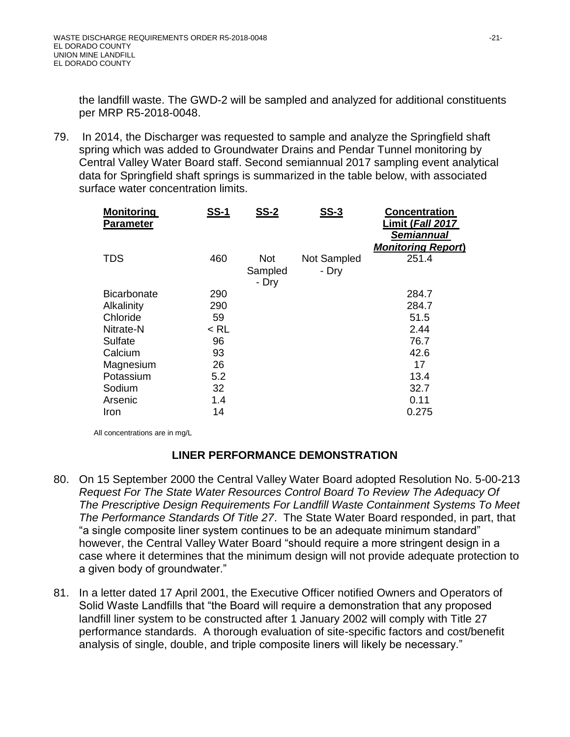the landfill waste. The GWD-2 will be sampled and analyzed for additional constituents per MRP R5-2018-0048.

79. In 2014, the Discharger was requested to sample and analyze the Springfield shaft spring which was added to Groundwater Drains and Pendar Tunnel monitoring by Central Valley Water Board staff. Second semiannual 2017 sampling event analytical data for Springfield shaft springs is summarized in the table below, with associated surface water concentration limits.

| <b>Monitoring</b><br><b>Parameter</b> | <b>SS-1</b> | <b>SS-2</b>             | <u>SS-3</u>          | <b>Concentration</b><br><u>Limit (<i>Fall</i> 2017</u><br><b>Semiannual</b><br><b>Monitoring Report)</b> |
|---------------------------------------|-------------|-------------------------|----------------------|----------------------------------------------------------------------------------------------------------|
| <b>TDS</b>                            | 460         | Not<br>Sampled<br>- Dry | Not Sampled<br>- Dry | 251.4                                                                                                    |
| <b>Bicarbonate</b>                    | 290         |                         |                      | 284.7                                                                                                    |
| Alkalinity                            | 290         |                         |                      | 284.7                                                                                                    |
| Chloride                              | 59          |                         |                      | 51.5                                                                                                     |
| Nitrate-N                             | $<$ RL      |                         |                      | 2.44                                                                                                     |
| Sulfate                               | 96          |                         |                      | 76.7                                                                                                     |
| Calcium                               | 93          |                         |                      | 42.6                                                                                                     |
| Magnesium                             | 26          |                         |                      | 17                                                                                                       |
| Potassium                             | 5.2         |                         |                      | 13.4                                                                                                     |
| Sodium                                | 32          |                         |                      | 32.7                                                                                                     |
| Arsenic                               | 1.4         |                         |                      | 0.11                                                                                                     |
| Iron                                  | 14          |                         |                      | 0.275                                                                                                    |

All concentrations are in mg/L

#### **LINER PERFORMANCE DEMONSTRATION**

- 80. On 15 September 2000 the Central Valley Water Board adopted Resolution No. 5-00-213 *Request For The State Water Resources Control Board To Review The Adequacy Of The Prescriptive Design Requirements For Landfill Waste Containment Systems To Meet The Performance Standards Of Title 27*. The State Water Board responded, in part, that "a single composite liner system continues to be an adequate minimum standard" however, the Central Valley Water Board "should require a more stringent design in a case where it determines that the minimum design will not provide adequate protection to a given body of groundwater."
- 81. In a letter dated 17 April 2001, the Executive Officer notified Owners and Operators of Solid Waste Landfills that "the Board will require a demonstration that any proposed landfill liner system to be constructed after 1 January 2002 will comply with Title 27 performance standards. A thorough evaluation of site-specific factors and cost/benefit analysis of single, double, and triple composite liners will likely be necessary."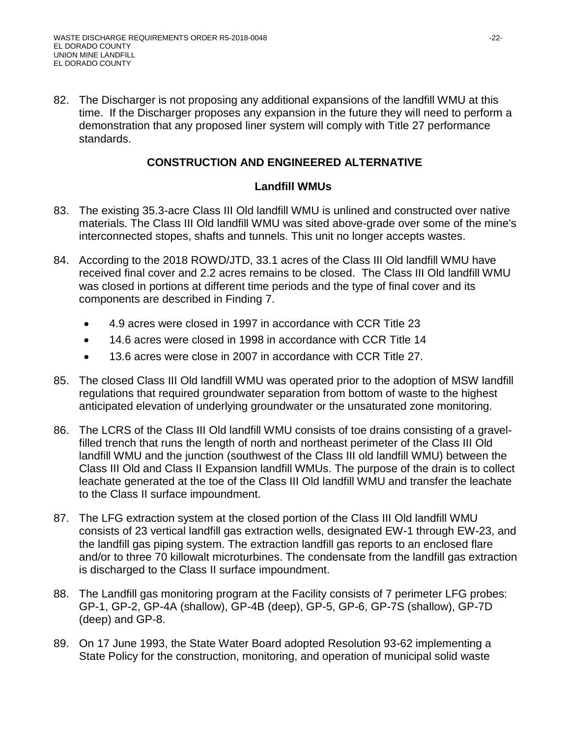82. The Discharger is not proposing any additional expansions of the landfill WMU at this time. If the Discharger proposes any expansion in the future they will need to perform a demonstration that any proposed liner system will comply with Title 27 performance standards.

#### **CONSTRUCTION AND ENGINEERED ALTERNATIVE**

#### **Landfill WMUs**

- 83. The existing 35.3-acre Class III Old landfill WMU is unlined and constructed over native materials. The Class III Old landfill WMU was sited above-grade over some of the mine's interconnected stopes, shafts and tunnels. This unit no longer accepts wastes.
- 84. According to the 2018 ROWD/JTD, 33.1 acres of the Class III Old landfill WMU have received final cover and 2.2 acres remains to be closed. The Class III Old landfill WMU was closed in portions at different time periods and the type of final cover and its components are described in Finding 7.
	- 4.9 acres were closed in 1997 in accordance with CCR Title 23
	- 14.6 acres were closed in 1998 in accordance with CCR Title 14
	- 13.6 acres were close in 2007 in accordance with CCR Title 27.
- 85. The closed Class III Old landfill WMU was operated prior to the adoption of MSW landfill regulations that required groundwater separation from bottom of waste to the highest anticipated elevation of underlying groundwater or the unsaturated zone monitoring.
- 86. The LCRS of the Class III Old landfill WMU consists of toe drains consisting of a gravelfilled trench that runs the length of north and northeast perimeter of the Class III Old landfill WMU and the junction (southwest of the Class III old landfill WMU) between the Class III Old and Class II Expansion landfill WMUs. The purpose of the drain is to collect leachate generated at the toe of the Class III Old landfill WMU and transfer the leachate to the Class II surface impoundment.
- 87. The LFG extraction system at the closed portion of the Class III Old landfill WMU consists of 23 vertical landfill gas extraction wells, designated EW-1 through EW-23, and the landfill gas piping system. The extraction landfill gas reports to an enclosed flare and/or to three 70 killowalt microturbines. The condensate from the landfill gas extraction is discharged to the Class II surface impoundment.
- 88. The Landfill gas monitoring program at the Facility consists of 7 perimeter LFG probes: GP-1, GP-2, GP-4A (shallow), GP-4B (deep), GP-5, GP-6, GP-7S (shallow), GP-7D (deep) and GP-8.
- 89. On 17 June 1993, the State Water Board adopted Resolution 93-62 implementing a State Policy for the construction, monitoring, and operation of municipal solid waste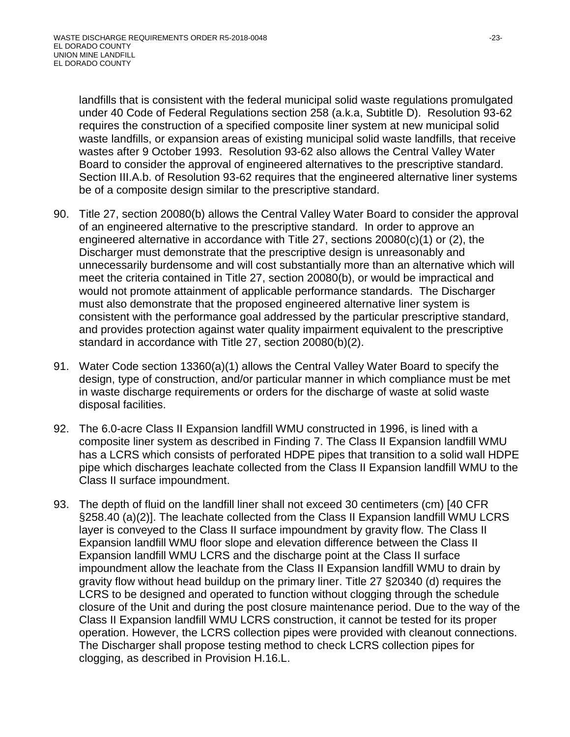landfills that is consistent with the federal municipal solid waste regulations promulgated under 40 Code of Federal Regulations section 258 (a.k.a, Subtitle D). Resolution 93-62 requires the construction of a specified composite liner system at new municipal solid waste landfills, or expansion areas of existing municipal solid waste landfills, that receive wastes after 9 October 1993. Resolution 93-62 also allows the Central Valley Water Board to consider the approval of engineered alternatives to the prescriptive standard. Section III.A.b. of Resolution 93-62 requires that the engineered alternative liner systems be of a composite design similar to the prescriptive standard.

- 90. Title 27, section 20080(b) allows the Central Valley Water Board to consider the approval of an engineered alternative to the prescriptive standard. In order to approve an engineered alternative in accordance with Title 27, sections 20080(c)(1) or (2), the Discharger must demonstrate that the prescriptive design is unreasonably and unnecessarily burdensome and will cost substantially more than an alternative which will meet the criteria contained in Title 27, section 20080(b), or would be impractical and would not promote attainment of applicable performance standards. The Discharger must also demonstrate that the proposed engineered alternative liner system is consistent with the performance goal addressed by the particular prescriptive standard, and provides protection against water quality impairment equivalent to the prescriptive standard in accordance with Title 27, section 20080(b)(2).
- 91. Water Code section 13360(a)(1) allows the Central Valley Water Board to specify the design, type of construction, and/or particular manner in which compliance must be met in waste discharge requirements or orders for the discharge of waste at solid waste disposal facilities.
- 92. The 6.0-acre Class II Expansion landfill WMU constructed in 1996, is lined with a composite liner system as described in Finding 7. The Class II Expansion landfill WMU has a LCRS which consists of perforated HDPE pipes that transition to a solid wall HDPE pipe which discharges leachate collected from the Class II Expansion landfill WMU to the Class II surface impoundment.
- 93. The depth of fluid on the landfill liner shall not exceed 30 centimeters (cm) [40 CFR §258.40 (a)(2)]. The leachate collected from the Class II Expansion landfill WMU LCRS layer is conveyed to the Class II surface impoundment by gravity flow. The Class II Expansion landfill WMU floor slope and elevation difference between the Class II Expansion landfill WMU LCRS and the discharge point at the Class II surface impoundment allow the leachate from the Class II Expansion landfill WMU to drain by gravity flow without head buildup on the primary liner. Title 27 §20340 (d) requires the LCRS to be designed and operated to function without clogging through the schedule closure of the Unit and during the post closure maintenance period. Due to the way of the Class II Expansion landfill WMU LCRS construction, it cannot be tested for its proper operation. However, the LCRS collection pipes were provided with cleanout connections. The Discharger shall propose testing method to check LCRS collection pipes for clogging, as described in Provision H.16.L.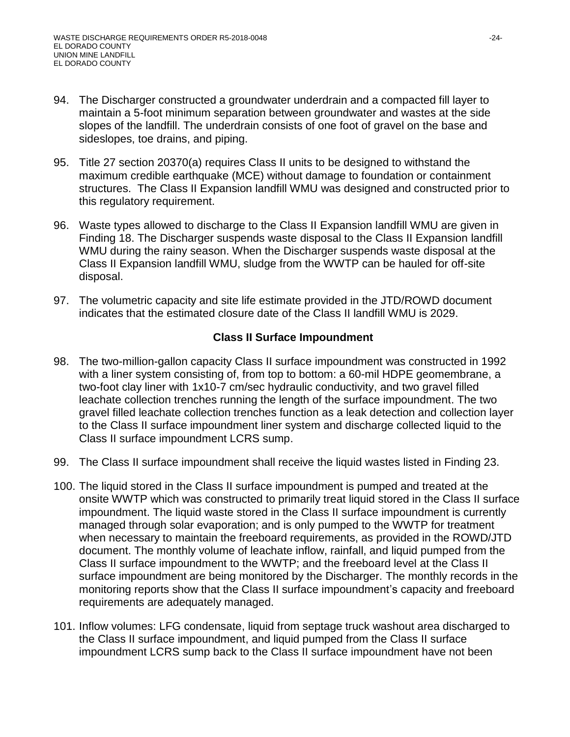- 94. The Discharger constructed a groundwater underdrain and a compacted fill layer to maintain a 5-foot minimum separation between groundwater and wastes at the side slopes of the landfill. The underdrain consists of one foot of gravel on the base and sideslopes, toe drains, and piping.
- 95. Title 27 section 20370(a) requires Class II units to be designed to withstand the maximum credible earthquake (MCE) without damage to foundation or containment structures. The Class II Expansion landfill WMU was designed and constructed prior to this regulatory requirement.
- 96. Waste types allowed to discharge to the Class II Expansion landfill WMU are given in Finding 18. The Discharger suspends waste disposal to the Class II Expansion landfill WMU during the rainy season. When the Discharger suspends waste disposal at the Class II Expansion landfill WMU, sludge from the WWTP can be hauled for off-site disposal.
- 97. The volumetric capacity and site life estimate provided in the JTD/ROWD document indicates that the estimated closure date of the Class II landfill WMU is 2029.

#### **Class II Surface Impoundment**

- 98. The two-million-gallon capacity Class II surface impoundment was constructed in 1992 with a liner system consisting of, from top to bottom: a 60-mil HDPE geomembrane, a two-foot clay liner with 1x10-7 cm/sec hydraulic conductivity, and two gravel filled leachate collection trenches running the length of the surface impoundment. The two gravel filled leachate collection trenches function as a leak detection and collection layer to the Class II surface impoundment liner system and discharge collected liquid to the Class II surface impoundment LCRS sump.
- 99. The Class II surface impoundment shall receive the liquid wastes listed in Finding 23.
- 100. The liquid stored in the Class II surface impoundment is pumped and treated at the onsite WWTP which was constructed to primarily treat liquid stored in the Class II surface impoundment. The liquid waste stored in the Class II surface impoundment is currently managed through solar evaporation; and is only pumped to the WWTP for treatment when necessary to maintain the freeboard requirements, as provided in the ROWD/JTD document. The monthly volume of leachate inflow, rainfall, and liquid pumped from the Class II surface impoundment to the WWTP; and the freeboard level at the Class II surface impoundment are being monitored by the Discharger. The monthly records in the monitoring reports show that the Class II surface impoundment's capacity and freeboard requirements are adequately managed.
- 101. Inflow volumes: LFG condensate, liquid from septage truck washout area discharged to the Class II surface impoundment, and liquid pumped from the Class II surface impoundment LCRS sump back to the Class II surface impoundment have not been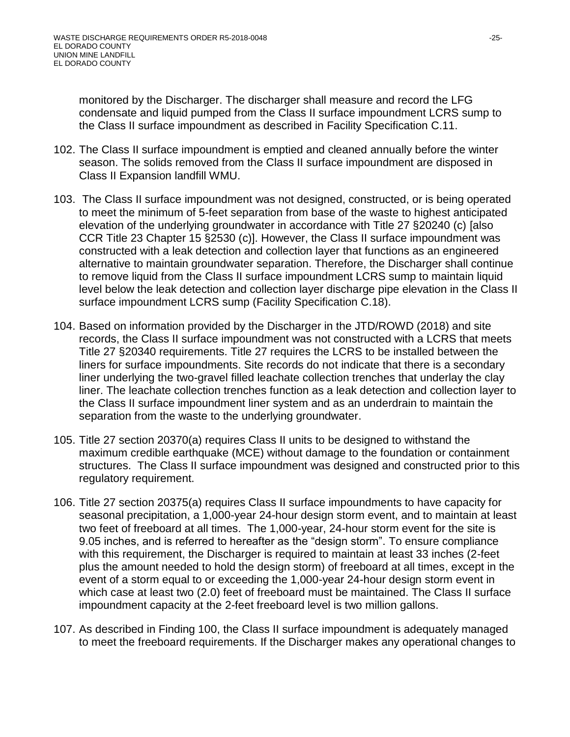monitored by the Discharger. The discharger shall measure and record the LFG condensate and liquid pumped from the Class II surface impoundment LCRS sump to the Class II surface impoundment as described in Facility Specification C.11.

- 102. The Class II surface impoundment is emptied and cleaned annually before the winter season. The solids removed from the Class II surface impoundment are disposed in Class II Expansion landfill WMU.
- 103. The Class II surface impoundment was not designed, constructed, or is being operated to meet the minimum of 5-feet separation from base of the waste to highest anticipated elevation of the underlying groundwater in accordance with Title 27 §20240 (c) [also CCR Title 23 Chapter 15 §2530 (c)]. However, the Class II surface impoundment was constructed with a leak detection and collection layer that functions as an engineered alternative to maintain groundwater separation. Therefore, the Discharger shall continue to remove liquid from the Class II surface impoundment LCRS sump to maintain liquid level below the leak detection and collection layer discharge pipe elevation in the Class II surface impoundment LCRS sump (Facility Specification C.18).
- 104. Based on information provided by the Discharger in the JTD/ROWD (2018) and site records, the Class II surface impoundment was not constructed with a LCRS that meets Title 27 §20340 requirements. Title 27 requires the LCRS to be installed between the liners for surface impoundments. Site records do not indicate that there is a secondary liner underlying the two-gravel filled leachate collection trenches that underlay the clay liner. The leachate collection trenches function as a leak detection and collection layer to the Class II surface impoundment liner system and as an underdrain to maintain the separation from the waste to the underlying groundwater.
- 105. Title 27 section 20370(a) requires Class II units to be designed to withstand the maximum credible earthquake (MCE) without damage to the foundation or containment structures. The Class II surface impoundment was designed and constructed prior to this regulatory requirement.
- 106. Title 27 section 20375(a) requires Class II surface impoundments to have capacity for seasonal precipitation, a 1,000-year 24-hour design storm event, and to maintain at least two feet of freeboard at all times. The 1,000-year, 24-hour storm event for the site is 9.05 inches, and is referred to hereafter as the "design storm". To ensure compliance with this requirement, the Discharger is required to maintain at least 33 inches (2-feet plus the amount needed to hold the design storm) of freeboard at all times, except in the event of a storm equal to or exceeding the 1,000-year 24-hour design storm event in which case at least two (2.0) feet of freeboard must be maintained. The Class II surface impoundment capacity at the 2-feet freeboard level is two million gallons.
- 107. As described in Finding 100, the Class II surface impoundment is adequately managed to meet the freeboard requirements. If the Discharger makes any operational changes to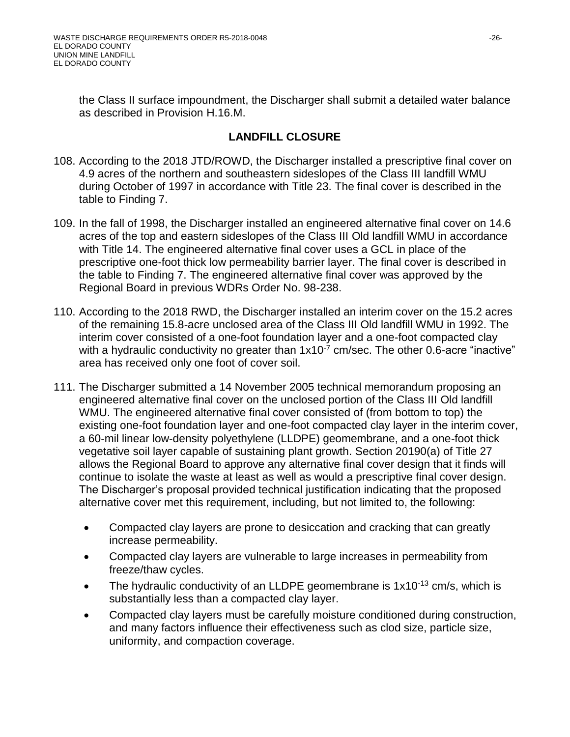the Class II surface impoundment, the Discharger shall submit a detailed water balance as described in Provision H.16.M.

#### **LANDFILL CLOSURE**

- 108. According to the 2018 JTD/ROWD, the Discharger installed a prescriptive final cover on 4.9 acres of the northern and southeastern sideslopes of the Class III landfill WMU during October of 1997 in accordance with Title 23. The final cover is described in the table to Finding 7.
- 109. In the fall of 1998, the Discharger installed an engineered alternative final cover on 14.6 acres of the top and eastern sideslopes of the Class III Old landfill WMU in accordance with Title 14. The engineered alternative final cover uses a GCL in place of the prescriptive one-foot thick low permeability barrier layer. The final cover is described in the table to Finding 7. The engineered alternative final cover was approved by the Regional Board in previous WDRs Order No. 98-238.
- 110. According to the 2018 RWD, the Discharger installed an interim cover on the 15.2 acres of the remaining 15.8-acre unclosed area of the Class III Old landfill WMU in 1992. The interim cover consisted of a one-foot foundation layer and a one-foot compacted clay with a hydraulic conductivity no greater than  $1x10^{-7}$  cm/sec. The other 0.6-acre "inactive" area has received only one foot of cover soil.
- 111. The Discharger submitted a 14 November 2005 technical memorandum proposing an engineered alternative final cover on the unclosed portion of the Class III Old landfill WMU. The engineered alternative final cover consisted of (from bottom to top) the existing one-foot foundation layer and one-foot compacted clay layer in the interim cover, a 60-mil linear low-density polyethylene (LLDPE) geomembrane, and a one-foot thick vegetative soil layer capable of sustaining plant growth. Section 20190(a) of Title 27 allows the Regional Board to approve any alternative final cover design that it finds will continue to isolate the waste at least as well as would a prescriptive final cover design. The Discharger's proposal provided technical justification indicating that the proposed alternative cover met this requirement, including, but not limited to, the following:
	- Compacted clay layers are prone to desiccation and cracking that can greatly increase permeability.
	- Compacted clay layers are vulnerable to large increases in permeability from freeze/thaw cycles.
	- The hydraulic conductivity of an LLDPE geomembrane is  $1x10^{-13}$  cm/s, which is substantially less than a compacted clay layer.
	- Compacted clay layers must be carefully moisture conditioned during construction, and many factors influence their effectiveness such as clod size, particle size, uniformity, and compaction coverage.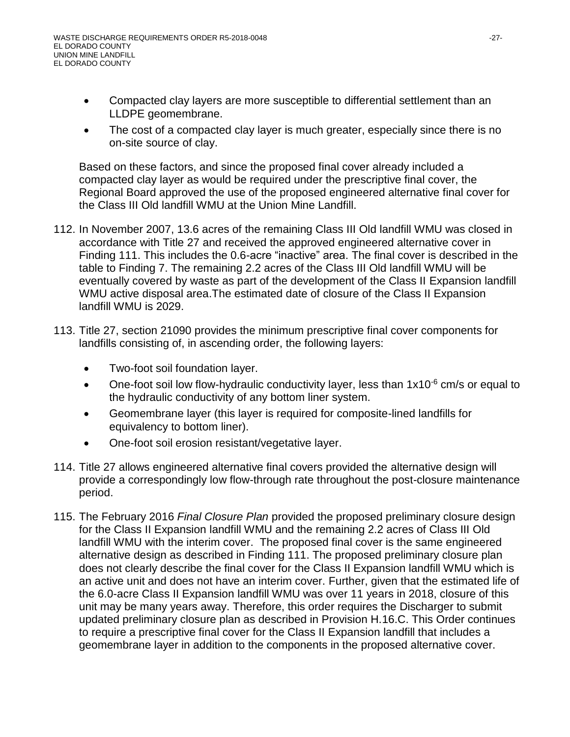- Compacted clay layers are more susceptible to differential settlement than an LLDPE geomembrane.
- The cost of a compacted clay layer is much greater, especially since there is no on-site source of clay.

Based on these factors, and since the proposed final cover already included a compacted clay layer as would be required under the prescriptive final cover, the Regional Board approved the use of the proposed engineered alternative final cover for the Class III Old landfill WMU at the Union Mine Landfill.

- 112. In November 2007, 13.6 acres of the remaining Class III Old landfill WMU was closed in accordance with Title 27 and received the approved engineered alternative cover in Finding 111. This includes the 0.6-acre "inactive" area. The final cover is described in the table to Finding 7. The remaining 2.2 acres of the Class III Old landfill WMU will be eventually covered by waste as part of the development of the Class II Expansion landfill WMU active disposal area.The estimated date of closure of the Class II Expansion landfill WMU is 2029.
- 113. Title 27, section 21090 provides the minimum prescriptive final cover components for landfills consisting of, in ascending order, the following layers:
	- Two-foot soil foundation layer.
	- One-foot soil low flow-hydraulic conductivity layer, less than  $1x10^{-6}$  cm/s or equal to the hydraulic conductivity of any bottom liner system.
	- Geomembrane layer (this layer is required for composite-lined landfills for equivalency to bottom liner).
	- One-foot soil erosion resistant/vegetative layer.
- 114. Title 27 allows engineered alternative final covers provided the alternative design will provide a correspondingly low flow-through rate throughout the post-closure maintenance period.
- 115. The February 2016 *Final Closure Plan* provided the proposed preliminary closure design for the Class II Expansion landfill WMU and the remaining 2.2 acres of Class III Old landfill WMU with the interim cover. The proposed final cover is the same engineered alternative design as described in Finding 111. The proposed preliminary closure plan does not clearly describe the final cover for the Class II Expansion landfill WMU which is an active unit and does not have an interim cover. Further, given that the estimated life of the 6.0-acre Class II Expansion landfill WMU was over 11 years in 2018, closure of this unit may be many years away. Therefore, this order requires the Discharger to submit updated preliminary closure plan as described in Provision H.16.C. This Order continues to require a prescriptive final cover for the Class II Expansion landfill that includes a geomembrane layer in addition to the components in the proposed alternative cover.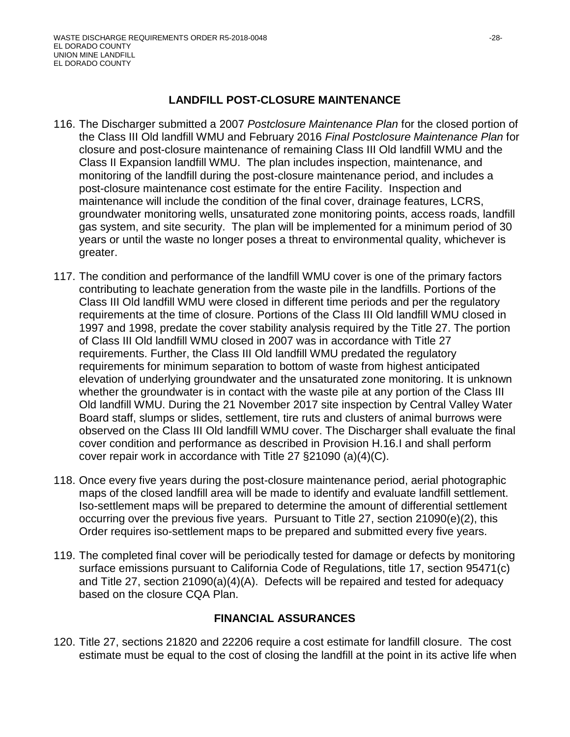#### **LANDFILL POST-CLOSURE MAINTENANCE**

- 116. The Discharger submitted a 2007 *Postclosure Maintenance Plan* for the closed portion of the Class III Old landfill WMU and February 2016 *Final Postclosure Maintenance Plan* for closure and post-closure maintenance of remaining Class III Old landfill WMU and the Class II Expansion landfill WMU. The plan includes inspection, maintenance, and monitoring of the landfill during the post-closure maintenance period, and includes a post-closure maintenance cost estimate for the entire Facility. Inspection and maintenance will include the condition of the final cover, drainage features, LCRS, groundwater monitoring wells, unsaturated zone monitoring points, access roads, landfill gas system, and site security. The plan will be implemented for a minimum period of 30 years or until the waste no longer poses a threat to environmental quality, whichever is greater.
- 117. The condition and performance of the landfill WMU cover is one of the primary factors contributing to leachate generation from the waste pile in the landfills. Portions of the Class III Old landfill WMU were closed in different time periods and per the regulatory requirements at the time of closure. Portions of the Class III Old landfill WMU closed in 1997 and 1998, predate the cover stability analysis required by the Title 27. The portion of Class III Old landfill WMU closed in 2007 was in accordance with Title 27 requirements. Further, the Class III Old landfill WMU predated the regulatory requirements for minimum separation to bottom of waste from highest anticipated elevation of underlying groundwater and the unsaturated zone monitoring. It is unknown whether the groundwater is in contact with the waste pile at any portion of the Class III Old landfill WMU. During the 21 November 2017 site inspection by Central Valley Water Board staff, slumps or slides, settlement, tire ruts and clusters of animal burrows were observed on the Class III Old landfill WMU cover. The Discharger shall evaluate the final cover condition and performance as described in Provision H.16.I and shall perform cover repair work in accordance with Title 27 §21090 (a)(4)(C).
- 118. Once every five years during the post-closure maintenance period, aerial photographic maps of the closed landfill area will be made to identify and evaluate landfill settlement. Iso-settlement maps will be prepared to determine the amount of differential settlement occurring over the previous five years. Pursuant to Title 27, section 21090(e)(2), this Order requires iso-settlement maps to be prepared and submitted every five years.
- 119. The completed final cover will be periodically tested for damage or defects by monitoring surface emissions pursuant to California Code of Regulations, title 17, section 95471(c) and Title 27, section 21090(a)(4)(A). Defects will be repaired and tested for adequacy based on the closure CQA Plan.

# **FINANCIAL ASSURANCES**

120. Title 27, sections 21820 and 22206 require a cost estimate for landfill closure. The cost estimate must be equal to the cost of closing the landfill at the point in its active life when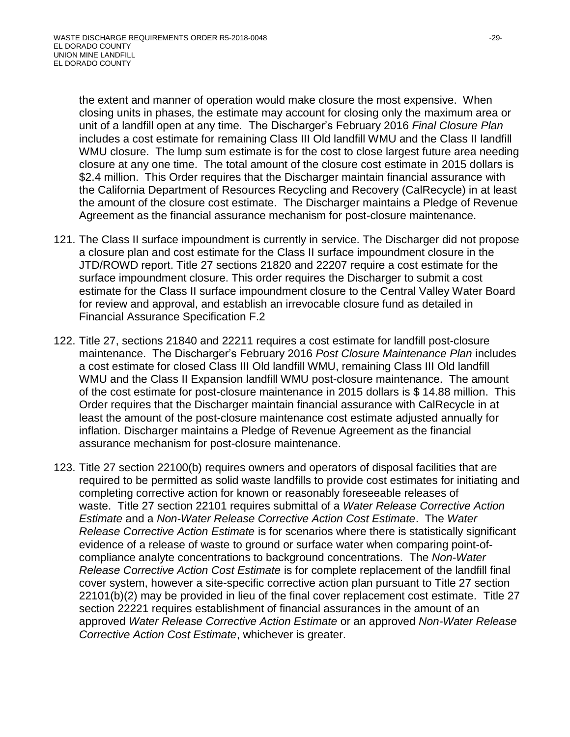the extent and manner of operation would make closure the most expensive. When closing units in phases, the estimate may account for closing only the maximum area or unit of a landfill open at any time. The Discharger's February 2016 *Final Closure Plan*  includes a cost estimate for remaining Class III Old landfill WMU and the Class II landfill WMU closure. The lump sum estimate is for the cost to close largest future area needing closure at any one time. The total amount of the closure cost estimate in 2015 dollars is \$2.4 million. This Order requires that the Discharger maintain financial assurance with the California Department of Resources Recycling and Recovery (CalRecycle) in at least the amount of the closure cost estimate. The Discharger maintains a Pledge of Revenue Agreement as the financial assurance mechanism for post-closure maintenance.

- 121. The Class II surface impoundment is currently in service. The Discharger did not propose a closure plan and cost estimate for the Class II surface impoundment closure in the JTD/ROWD report. Title 27 sections 21820 and 22207 require a cost estimate for the surface impoundment closure. This order requires the Discharger to submit a cost estimate for the Class II surface impoundment closure to the Central Valley Water Board for review and approval, and establish an irrevocable closure fund as detailed in Financial Assurance Specification F.2
- 122. Title 27, sections 21840 and 22211 requires a cost estimate for landfill post-closure maintenance. The Discharger's February 2016 *Post Closure Maintenance Plan* includes a cost estimate for closed Class III Old landfill WMU, remaining Class III Old landfill WMU and the Class II Expansion landfill WMU post-closure maintenance. The amount of the cost estimate for post-closure maintenance in 2015 dollars is \$ 14.88 million. This Order requires that the Discharger maintain financial assurance with CalRecycle in at least the amount of the post-closure maintenance cost estimate adjusted annually for inflation. Discharger maintains a Pledge of Revenue Agreement as the financial assurance mechanism for post-closure maintenance.
- 123. Title 27 section 22100(b) requires owners and operators of disposal facilities that are required to be permitted as solid waste landfills to provide cost estimates for initiating and completing corrective action for known or reasonably foreseeable releases of waste. Title 27 section 22101 requires submittal of a *Water Release Corrective Action Estimate* and a *Non-Water Release Corrective Action Cost Estimate*. The *Water Release Corrective Action Estimate* is for scenarios where there is statistically significant evidence of a release of waste to ground or surface water when comparing point-ofcompliance analyte concentrations to background concentrations. The *Non-Water Release Corrective Action Cost Estimate* is for complete replacement of the landfill final cover system, however a site-specific corrective action plan pursuant to Title 27 section 22101(b)(2) may be provided in lieu of the final cover replacement cost estimate. Title 27 section 22221 requires establishment of financial assurances in the amount of an approved *Water Release Corrective Action Estimate* or an approved *Non-Water Release Corrective Action Cost Estimate*, whichever is greater.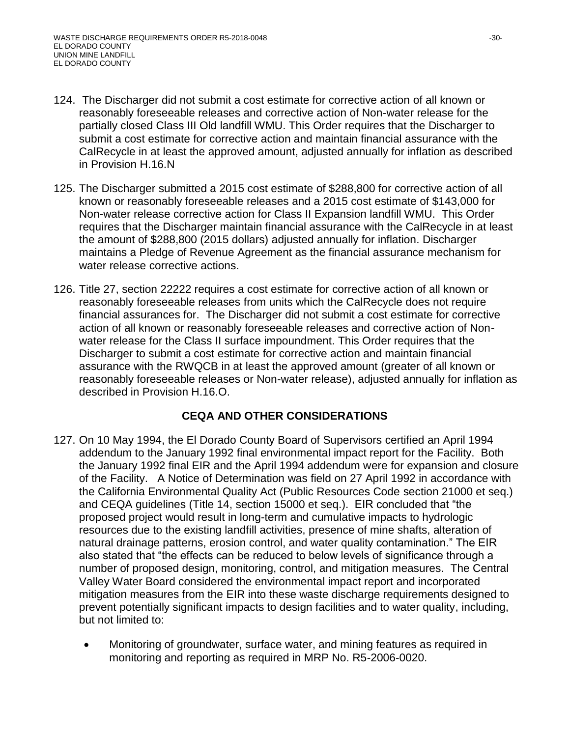- 124. The Discharger did not submit a cost estimate for corrective action of all known or reasonably foreseeable releases and corrective action of Non-water release for the partially closed Class III Old landfill WMU. This Order requires that the Discharger to submit a cost estimate for corrective action and maintain financial assurance with the CalRecycle in at least the approved amount, adjusted annually for inflation as described in Provision H.16.N
- 125. The Discharger submitted a 2015 cost estimate of \$288,800 for corrective action of all known or reasonably foreseeable releases and a 2015 cost estimate of \$143,000 for Non-water release corrective action for Class II Expansion landfill WMU. This Order requires that the Discharger maintain financial assurance with the CalRecycle in at least the amount of \$288,800 (2015 dollars) adjusted annually for inflation. Discharger maintains a Pledge of Revenue Agreement as the financial assurance mechanism for water release corrective actions.
- 126. Title 27, section 22222 requires a cost estimate for corrective action of all known or reasonably foreseeable releases from units which the CalRecycle does not require financial assurances for. The Discharger did not submit a cost estimate for corrective action of all known or reasonably foreseeable releases and corrective action of Nonwater release for the Class II surface impoundment. This Order requires that the Discharger to submit a cost estimate for corrective action and maintain financial assurance with the RWQCB in at least the approved amount (greater of all known or reasonably foreseeable releases or Non-water release), adjusted annually for inflation as described in Provision H.16.O.

# **CEQA AND OTHER CONSIDERATIONS**

- 127. On 10 May 1994, the El Dorado County Board of Supervisors certified an April 1994 addendum to the January 1992 final environmental impact report for the Facility. Both the January 1992 final EIR and the April 1994 addendum were for expansion and closure of the Facility. A Notice of Determination was field on 27 April 1992 in accordance with the California Environmental Quality Act (Public Resources Code section 21000 et seq.) and CEQA guidelines (Title 14, section 15000 et seq.). EIR concluded that "the proposed project would result in long-term and cumulative impacts to hydrologic resources due to the existing landfill activities, presence of mine shafts, alteration of natural drainage patterns, erosion control, and water quality contamination." The EIR also stated that "the effects can be reduced to below levels of significance through a number of proposed design, monitoring, control, and mitigation measures. The Central Valley Water Board considered the environmental impact report and incorporated mitigation measures from the EIR into these waste discharge requirements designed to prevent potentially significant impacts to design facilities and to water quality, including, but not limited to:
	- Monitoring of groundwater, surface water, and mining features as required in monitoring and reporting as required in MRP No. R5-2006-0020.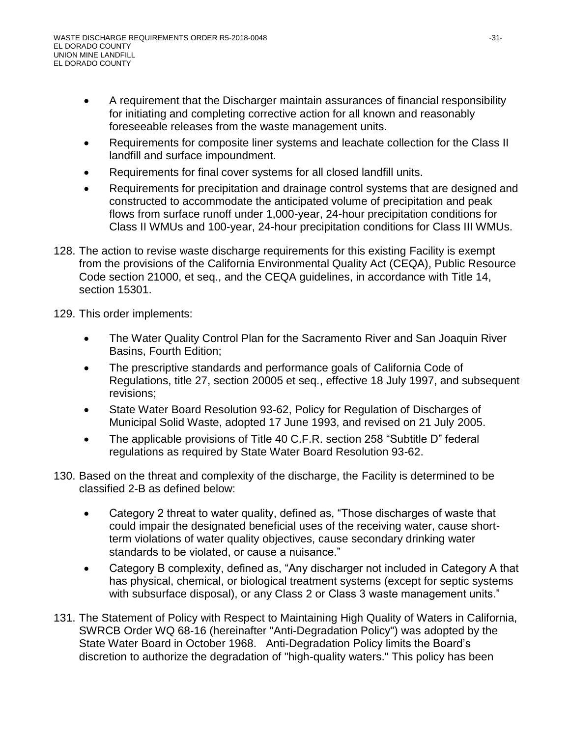- A requirement that the Discharger maintain assurances of financial responsibility for initiating and completing corrective action for all known and reasonably foreseeable releases from the waste management units.
- Requirements for composite liner systems and leachate collection for the Class II landfill and surface impoundment.
- Requirements for final cover systems for all closed landfill units.
- Requirements for precipitation and drainage control systems that are designed and constructed to accommodate the anticipated volume of precipitation and peak flows from surface runoff under 1,000-year, 24-hour precipitation conditions for Class II WMUs and 100-year, 24-hour precipitation conditions for Class III WMUs.
- 128. The action to revise waste discharge requirements for this existing Facility is exempt from the provisions of the California Environmental Quality Act (CEQA), Public Resource Code section 21000, et seq., and the CEQA guidelines, in accordance with Title 14, section 15301.

129. This order implements:

- The Water Quality Control Plan for the Sacramento River and San Joaquin River Basins, Fourth Edition;
- The prescriptive standards and performance goals of California Code of Regulations, title 27, section 20005 et seq., effective 18 July 1997, and subsequent revisions;
- State Water Board Resolution 93-62, Policy for Regulation of Discharges of Municipal Solid Waste, adopted 17 June 1993, and revised on 21 July 2005.
- The applicable provisions of Title 40 C.F.R. section 258 "Subtitle D" federal regulations as required by State Water Board Resolution 93-62.
- 130. Based on the threat and complexity of the discharge, the Facility is determined to be classified 2-B as defined below:
	- Category 2 threat to water quality, defined as, "Those discharges of waste that could impair the designated beneficial uses of the receiving water, cause shortterm violations of water quality objectives, cause secondary drinking water standards to be violated, or cause a nuisance."
	- Category B complexity, defined as, "Any discharger not included in Category A that has physical, chemical, or biological treatment systems (except for septic systems with subsurface disposal), or any Class 2 or Class 3 waste management units."
- 131. The Statement of Policy with Respect to Maintaining High Quality of Waters in California, SWRCB Order WQ 68-16 (hereinafter "Anti-Degradation Policy") was adopted by the State Water Board in October 1968. Anti-Degradation Policy limits the Board's discretion to authorize the degradation of "high-quality waters." This policy has been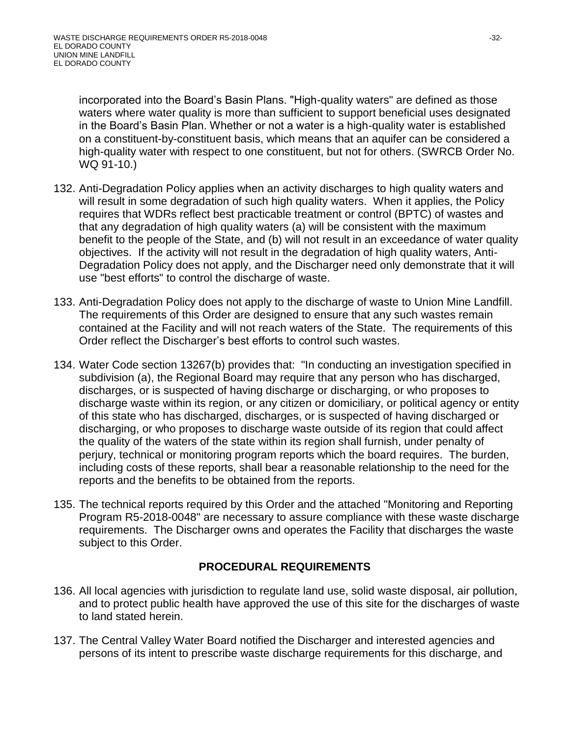incorporated into the Board's Basin Plans. "High-quality waters" are defined as those waters where water quality is more than sufficient to support beneficial uses designated in the Board's Basin Plan. Whether or not a water is a high-quality water is established on a constituent-by-constituent basis, which means that an aquifer can be considered a high-quality water with respect to one constituent, but not for others. (SWRCB Order No. WQ 91-10.)

- 132. Anti-Degradation Policy applies when an activity discharges to high quality waters and will result in some degradation of such high quality waters. When it applies, the Policy requires that WDRs reflect best practicable treatment or control (BPTC) of wastes and that any degradation of high quality waters (a) will be consistent with the maximum benefit to the people of the State, and (b) will not result in an exceedance of water quality objectives. If the activity will not result in the degradation of high quality waters, Anti-Degradation Policy does not apply, and the Discharger need only demonstrate that it will use "best efforts" to control the discharge of waste.
- 133. Anti-Degradation Policy does not apply to the discharge of waste to Union Mine Landfill. The requirements of this Order are designed to ensure that any such wastes remain contained at the Facility and will not reach waters of the State. The requirements of this Order reflect the Discharger's best efforts to control such wastes.
- 134. Water Code section 13267(b) provides that: "In conducting an investigation specified in subdivision (a), the Regional Board may require that any person who has discharged, discharges, or is suspected of having discharge or discharging, or who proposes to discharge waste within its region, or any citizen or domiciliary, or political agency or entity of this state who has discharged, discharges, or is suspected of having discharged or discharging, or who proposes to discharge waste outside of its region that could affect the quality of the waters of the state within its region shall furnish, under penalty of perjury, technical or monitoring program reports which the board requires. The burden, including costs of these reports, shall bear a reasonable relationship to the need for the reports and the benefits to be obtained from the reports.
- 135. The technical reports required by this Order and the attached "Monitoring and Reporting Program R5-2018-0048" are necessary to assure compliance with these waste discharge requirements. The Discharger owns and operates the Facility that discharges the waste subject to this Order.

# **PROCEDURAL REQUIREMENTS**

- 136. All local agencies with jurisdiction to regulate land use, solid waste disposal, air pollution, and to protect public health have approved the use of this site for the discharges of waste to land stated herein.
- 137. The Central Valley Water Board notified the Discharger and interested agencies and persons of its intent to prescribe waste discharge requirements for this discharge, and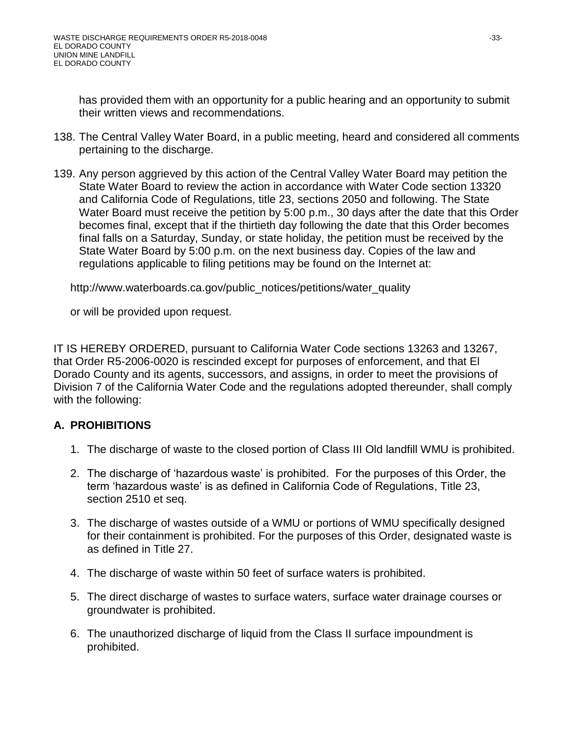has provided them with an opportunity for a public hearing and an opportunity to submit their written views and recommendations.

- 138. The Central Valley Water Board, in a public meeting, heard and considered all comments pertaining to the discharge.
- 139. Any person aggrieved by this action of the Central Valley Water Board may petition the State Water Board to review the action in accordance with Water Code section 13320 and California Code of Regulations, title 23, sections 2050 and following. The State Water Board must receive the petition by 5:00 p.m., 30 days after the date that this Order becomes final, except that if the thirtieth day following the date that this Order becomes final falls on a Saturday, Sunday, or state holiday, the petition must be received by the State Water Board by 5:00 p.m. on the next business day. Copies of the law and regulations applicable to filing petitions may be found on the Internet at:

http://www.waterboards.ca.gov/public\_notices/petitions/water\_quality

or will be provided upon request.

IT IS HEREBY ORDERED, pursuant to California Water Code sections 13263 and 13267, that Order R5-2006-0020 is rescinded except for purposes of enforcement, and that El Dorado County and its agents, successors, and assigns, in order to meet the provisions of Division 7 of the California Water Code and the regulations adopted thereunder, shall comply with the following:

# **A. PROHIBITIONS**

- 1. The discharge of waste to the closed portion of Class III Old landfill WMU is prohibited.
- 2. The discharge of 'hazardous waste' is prohibited. For the purposes of this Order, the term 'hazardous waste' is as defined in California Code of Regulations, Title 23, section 2510 et seq.
- 3. The discharge of wastes outside of a WMU or portions of WMU specifically designed for their containment is prohibited. For the purposes of this Order, designated waste is as defined in Title 27.
- 4. The discharge of waste within 50 feet of surface waters is prohibited.
- 5. The direct discharge of wastes to surface waters, surface water drainage courses or groundwater is prohibited.
- 6. The unauthorized discharge of liquid from the Class II surface impoundment is prohibited.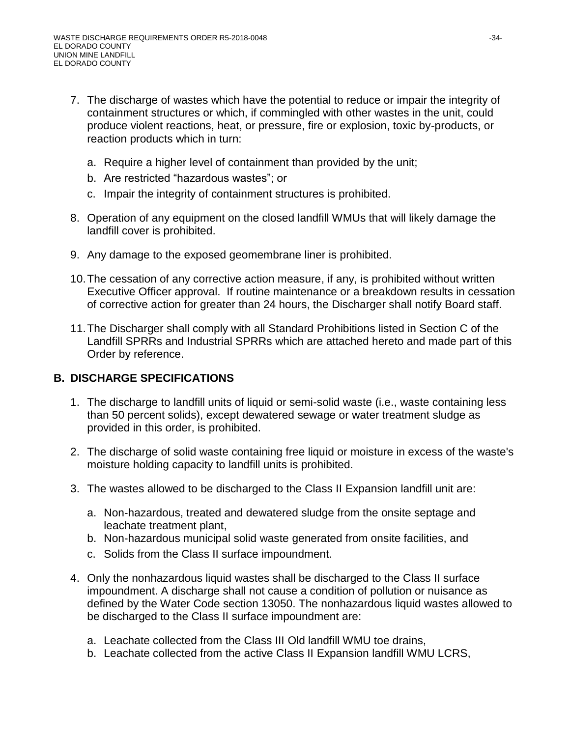- 7. The discharge of wastes which have the potential to reduce or impair the integrity of containment structures or which, if commingled with other wastes in the unit, could produce violent reactions, heat, or pressure, fire or explosion, toxic by-products, or reaction products which in turn:
	- a. Require a higher level of containment than provided by the unit;
	- b. Are restricted "hazardous wastes"; or
	- c. Impair the integrity of containment structures is prohibited.
- 8. Operation of any equipment on the closed landfill WMUs that will likely damage the landfill cover is prohibited.
- 9. Any damage to the exposed geomembrane liner is prohibited.
- 10.The cessation of any corrective action measure, if any, is prohibited without written Executive Officer approval. If routine maintenance or a breakdown results in cessation of corrective action for greater than 24 hours, the Discharger shall notify Board staff.
- 11.The Discharger shall comply with all Standard Prohibitions listed in Section C of the Landfill SPRRs and Industrial SPRRs which are attached hereto and made part of this Order by reference.

# **B. DISCHARGE SPECIFICATIONS**

- 1. The discharge to landfill units of liquid or semi-solid waste (i.e., waste containing less than 50 percent solids), except dewatered sewage or water treatment sludge as provided in this order, is prohibited.
- 2. The discharge of solid waste containing free liquid or moisture in excess of the waste's moisture holding capacity to landfill units is prohibited.
- 3. The wastes allowed to be discharged to the Class II Expansion landfill unit are:
	- a. Non-hazardous, treated and dewatered sludge from the onsite septage and leachate treatment plant,
	- b. Non-hazardous municipal solid waste generated from onsite facilities, and
	- c. Solids from the Class II surface impoundment.
- 4. Only the nonhazardous liquid wastes shall be discharged to the Class II surface impoundment. A discharge shall not cause a condition of pollution or nuisance as defined by the Water Code section 13050. The nonhazardous liquid wastes allowed to be discharged to the Class II surface impoundment are:
	- a. Leachate collected from the Class III Old landfill WMU toe drains,
	- b. Leachate collected from the active Class II Expansion landfill WMU LCRS,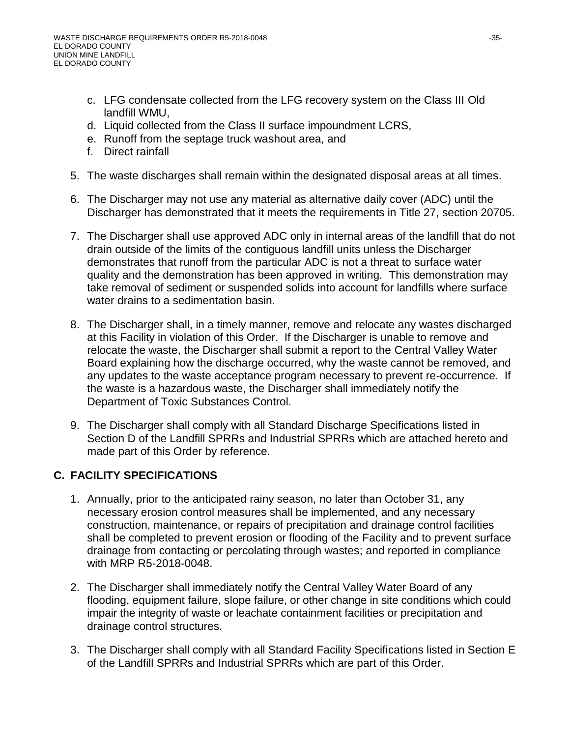- c. LFG condensate collected from the LFG recovery system on the Class III Old landfill WMU,
- d. Liquid collected from the Class II surface impoundment LCRS,
- e. Runoff from the septage truck washout area, and
- f. Direct rainfall
- 5. The waste discharges shall remain within the designated disposal areas at all times.
- 6. The Discharger may not use any material as alternative daily cover (ADC) until the Discharger has demonstrated that it meets the requirements in Title 27, section 20705.
- 7. The Discharger shall use approved ADC only in internal areas of the landfill that do not drain outside of the limits of the contiguous landfill units unless the Discharger demonstrates that runoff from the particular ADC is not a threat to surface water quality and the demonstration has been approved in writing. This demonstration may take removal of sediment or suspended solids into account for landfills where surface water drains to a sedimentation basin.
- 8. The Discharger shall, in a timely manner, remove and relocate any wastes discharged at this Facility in violation of this Order. If the Discharger is unable to remove and relocate the waste, the Discharger shall submit a report to the Central Valley Water Board explaining how the discharge occurred, why the waste cannot be removed, and any updates to the waste acceptance program necessary to prevent re-occurrence. If the waste is a hazardous waste, the Discharger shall immediately notify the Department of Toxic Substances Control.
- 9. The Discharger shall comply with all Standard Discharge Specifications listed in Section D of the Landfill SPRRs and Industrial SPRRs which are attached hereto and made part of this Order by reference.

# **C. FACILITY SPECIFICATIONS**

- 1. Annually, prior to the anticipated rainy season, no later than October 31, any necessary erosion control measures shall be implemented, and any necessary construction, maintenance, or repairs of precipitation and drainage control facilities shall be completed to prevent erosion or flooding of the Facility and to prevent surface drainage from contacting or percolating through wastes; and reported in compliance with MRP R5-2018-0048.
- 2. The Discharger shall immediately notify the Central Valley Water Board of any flooding, equipment failure, slope failure, or other change in site conditions which could impair the integrity of waste or leachate containment facilities or precipitation and drainage control structures.
- 3. The Discharger shall comply with all Standard Facility Specifications listed in Section E of the Landfill SPRRs and Industrial SPRRs which are part of this Order.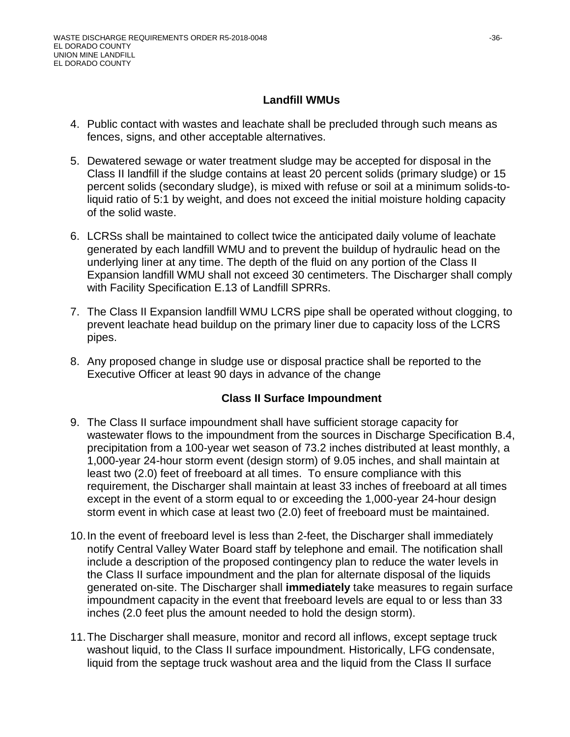#### **Landfill WMUs**

- 4. Public contact with wastes and leachate shall be precluded through such means as fences, signs, and other acceptable alternatives.
- 5. Dewatered sewage or water treatment sludge may be accepted for disposal in the Class II landfill if the sludge contains at least 20 percent solids (primary sludge) or 15 percent solids (secondary sludge), is mixed with refuse or soil at a minimum solids-toliquid ratio of 5:1 by weight, and does not exceed the initial moisture holding capacity of the solid waste.
- 6. LCRSs shall be maintained to collect twice the anticipated daily volume of leachate generated by each landfill WMU and to prevent the buildup of hydraulic head on the underlying liner at any time. The depth of the fluid on any portion of the Class II Expansion landfill WMU shall not exceed 30 centimeters. The Discharger shall comply with Facility Specification E.13 of Landfill SPRRs.
- 7. The Class II Expansion landfill WMU LCRS pipe shall be operated without clogging, to prevent leachate head buildup on the primary liner due to capacity loss of the LCRS pipes.
- 8. Any proposed change in sludge use or disposal practice shall be reported to the Executive Officer at least 90 days in advance of the change

#### **Class II Surface Impoundment**

- 9. The Class II surface impoundment shall have sufficient storage capacity for wastewater flows to the impoundment from the sources in Discharge Specification B.4, precipitation from a 100-year wet season of 73.2 inches distributed at least monthly, a 1,000-year 24-hour storm event (design storm) of 9.05 inches, and shall maintain at least two (2.0) feet of freeboard at all times. To ensure compliance with this requirement, the Discharger shall maintain at least 33 inches of freeboard at all times except in the event of a storm equal to or exceeding the 1,000-year 24-hour design storm event in which case at least two (2.0) feet of freeboard must be maintained.
- 10.In the event of freeboard level is less than 2-feet, the Discharger shall immediately notify Central Valley Water Board staff by telephone and email. The notification shall include a description of the proposed contingency plan to reduce the water levels in the Class II surface impoundment and the plan for alternate disposal of the liquids generated on-site. The Discharger shall **immediately** take measures to regain surface impoundment capacity in the event that freeboard levels are equal to or less than 33 inches (2.0 feet plus the amount needed to hold the design storm).
- 11.The Discharger shall measure, monitor and record all inflows, except septage truck washout liquid, to the Class II surface impoundment. Historically, LFG condensate, liquid from the septage truck washout area and the liquid from the Class II surface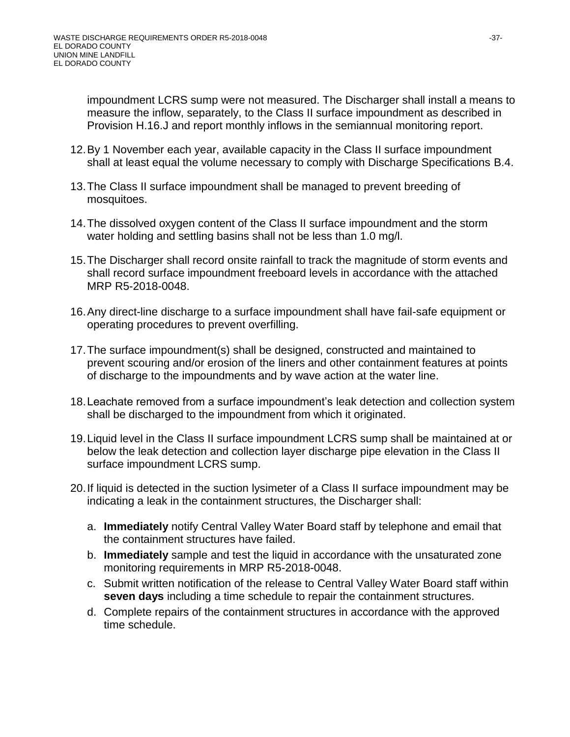impoundment LCRS sump were not measured. The Discharger shall install a means to measure the inflow, separately, to the Class II surface impoundment as described in Provision H.16.J and report monthly inflows in the semiannual monitoring report.

- 12.By 1 November each year, available capacity in the Class II surface impoundment shall at least equal the volume necessary to comply with Discharge Specifications B.4.
- 13.The Class II surface impoundment shall be managed to prevent breeding of mosquitoes.
- 14.The dissolved oxygen content of the Class II surface impoundment and the storm water holding and settling basins shall not be less than 1.0 mg/l.
- 15.The Discharger shall record onsite rainfall to track the magnitude of storm events and shall record surface impoundment freeboard levels in accordance with the attached MRP R5-2018-0048.
- 16.Any direct-line discharge to a surface impoundment shall have fail-safe equipment or operating procedures to prevent overfilling.
- 17.The surface impoundment(s) shall be designed, constructed and maintained to prevent scouring and/or erosion of the liners and other containment features at points of discharge to the impoundments and by wave action at the water line.
- 18.Leachate removed from a surface impoundment's leak detection and collection system shall be discharged to the impoundment from which it originated.
- 19.Liquid level in the Class II surface impoundment LCRS sump shall be maintained at or below the leak detection and collection layer discharge pipe elevation in the Class II surface impoundment LCRS sump.
- 20.If liquid is detected in the suction lysimeter of a Class II surface impoundment may be indicating a leak in the containment structures, the Discharger shall:
	- a. **Immediately** notify Central Valley Water Board staff by telephone and email that the containment structures have failed.
	- b. **Immediately** sample and test the liquid in accordance with the unsaturated zone monitoring requirements in MRP R5-2018-0048.
	- c. Submit written notification of the release to Central Valley Water Board staff within **seven days** including a time schedule to repair the containment structures.
	- d. Complete repairs of the containment structures in accordance with the approved time schedule.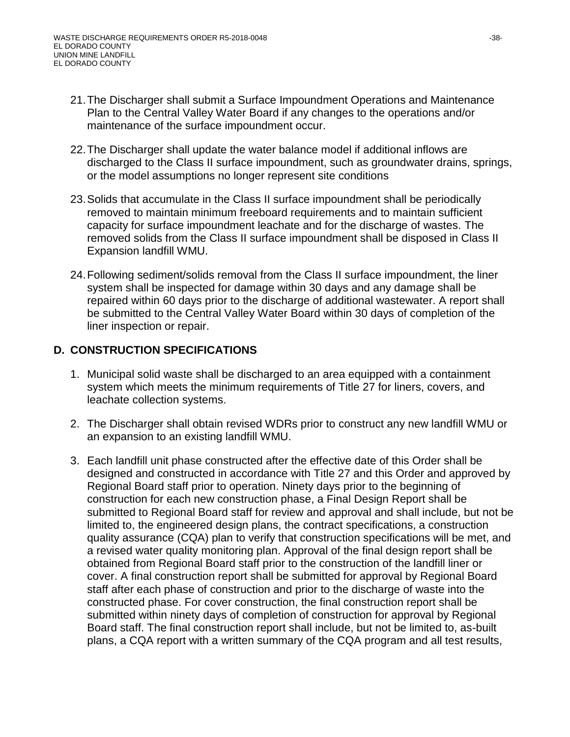- 21.The Discharger shall submit a Surface Impoundment Operations and Maintenance Plan to the Central Valley Water Board if any changes to the operations and/or maintenance of the surface impoundment occur.
- 22.The Discharger shall update the water balance model if additional inflows are discharged to the Class II surface impoundment, such as groundwater drains, springs, or the model assumptions no longer represent site conditions
- 23.Solids that accumulate in the Class II surface impoundment shall be periodically removed to maintain minimum freeboard requirements and to maintain sufficient capacity for surface impoundment leachate and for the discharge of wastes. The removed solids from the Class II surface impoundment shall be disposed in Class II Expansion landfill WMU.
- 24.Following sediment/solids removal from the Class II surface impoundment, the liner system shall be inspected for damage within 30 days and any damage shall be repaired within 60 days prior to the discharge of additional wastewater. A report shall be submitted to the Central Valley Water Board within 30 days of completion of the liner inspection or repair.

# **D. CONSTRUCTION SPECIFICATIONS**

- 1. Municipal solid waste shall be discharged to an area equipped with a containment system which meets the minimum requirements of Title 27 for liners, covers, and leachate collection systems.
- 2. The Discharger shall obtain revised WDRs prior to construct any new landfill WMU or an expansion to an existing landfill WMU.
- 3. Each landfill unit phase constructed after the effective date of this Order shall be designed and constructed in accordance with Title 27 and this Order and approved by Regional Board staff prior to operation. Ninety days prior to the beginning of construction for each new construction phase, a Final Design Report shall be submitted to Regional Board staff for review and approval and shall include, but not be limited to, the engineered design plans, the contract specifications, a construction quality assurance (CQA) plan to verify that construction specifications will be met, and a revised water quality monitoring plan. Approval of the final design report shall be obtained from Regional Board staff prior to the construction of the landfill liner or cover. A final construction report shall be submitted for approval by Regional Board staff after each phase of construction and prior to the discharge of waste into the constructed phase. For cover construction, the final construction report shall be submitted within ninety days of completion of construction for approval by Regional Board staff. The final construction report shall include, but not be limited to, as-built plans, a CQA report with a written summary of the CQA program and all test results,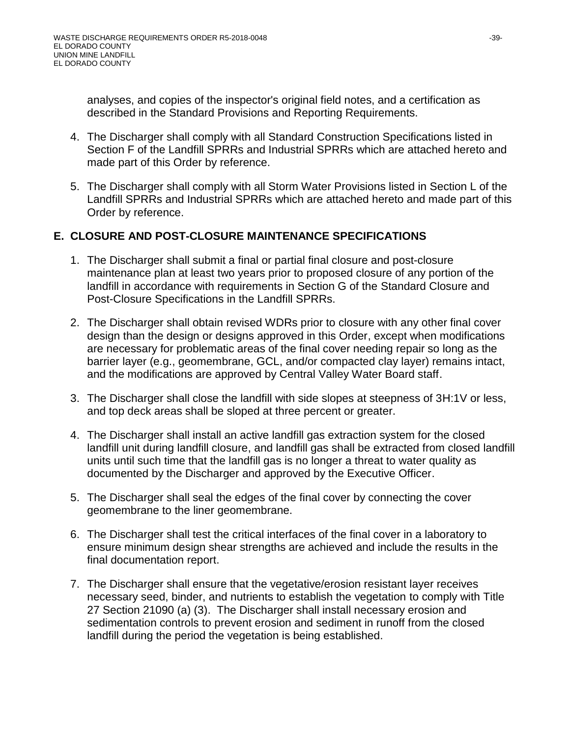analyses, and copies of the inspector's original field notes, and a certification as described in the Standard Provisions and Reporting Requirements.

- 4. The Discharger shall comply with all Standard Construction Specifications listed in Section F of the Landfill SPRRs and Industrial SPRRs which are attached hereto and made part of this Order by reference.
- 5. The Discharger shall comply with all Storm Water Provisions listed in Section L of the Landfill SPRRs and Industrial SPRRs which are attached hereto and made part of this Order by reference.

#### **E. CLOSURE AND POST-CLOSURE MAINTENANCE SPECIFICATIONS**

- 1. The Discharger shall submit a final or partial final closure and post-closure maintenance plan at least two years prior to proposed closure of any portion of the landfill in accordance with requirements in Section G of the Standard Closure and Post-Closure Specifications in the Landfill SPRRs.
- 2. The Discharger shall obtain revised WDRs prior to closure with any other final cover design than the design or designs approved in this Order, except when modifications are necessary for problematic areas of the final cover needing repair so long as the barrier layer (e.g., geomembrane, GCL, and/or compacted clay layer) remains intact, and the modifications are approved by Central Valley Water Board staff.
- 3. The Discharger shall close the landfill with side slopes at steepness of 3H:1V or less, and top deck areas shall be sloped at three percent or greater.
- 4. The Discharger shall install an active landfill gas extraction system for the closed landfill unit during landfill closure, and landfill gas shall be extracted from closed landfill units until such time that the landfill gas is no longer a threat to water quality as documented by the Discharger and approved by the Executive Officer.
- 5. The Discharger shall seal the edges of the final cover by connecting the cover geomembrane to the liner geomembrane.
- 6. The Discharger shall test the critical interfaces of the final cover in a laboratory to ensure minimum design shear strengths are achieved and include the results in the final documentation report.
- 7. The Discharger shall ensure that the vegetative/erosion resistant layer receives necessary seed, binder, and nutrients to establish the vegetation to comply with Title 27 Section 21090 (a) (3). The Discharger shall install necessary erosion and sedimentation controls to prevent erosion and sediment in runoff from the closed landfill during the period the vegetation is being established.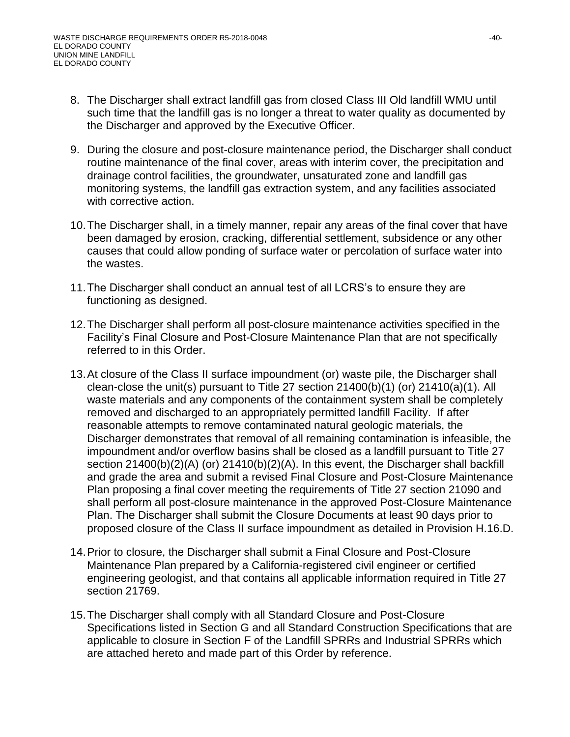- 8. The Discharger shall extract landfill gas from closed Class III Old landfill WMU until such time that the landfill gas is no longer a threat to water quality as documented by the Discharger and approved by the Executive Officer.
- 9. During the closure and post-closure maintenance period, the Discharger shall conduct routine maintenance of the final cover, areas with interim cover, the precipitation and drainage control facilities, the groundwater, unsaturated zone and landfill gas monitoring systems, the landfill gas extraction system, and any facilities associated with corrective action.
- 10.The Discharger shall, in a timely manner, repair any areas of the final cover that have been damaged by erosion, cracking, differential settlement, subsidence or any other causes that could allow ponding of surface water or percolation of surface water into the wastes.
- 11.The Discharger shall conduct an annual test of all LCRS's to ensure they are functioning as designed.
- 12.The Discharger shall perform all post-closure maintenance activities specified in the Facility's Final Closure and Post-Closure Maintenance Plan that are not specifically referred to in this Order.
- 13.At closure of the Class II surface impoundment (or) waste pile, the Discharger shall clean-close the unit(s) pursuant to Title 27 section 21400(b)(1) (or) 21410(a)(1). All waste materials and any components of the containment system shall be completely removed and discharged to an appropriately permitted landfill Facility. If after reasonable attempts to remove contaminated natural geologic materials, the Discharger demonstrates that removal of all remaining contamination is infeasible, the impoundment and/or overflow basins shall be closed as a landfill pursuant to Title 27 section 21400(b)(2)(A) (or) 21410(b)(2)(A). In this event, the Discharger shall backfill and grade the area and submit a revised Final Closure and Post-Closure Maintenance Plan proposing a final cover meeting the requirements of Title 27 section 21090 and shall perform all post-closure maintenance in the approved Post-Closure Maintenance Plan. The Discharger shall submit the Closure Documents at least 90 days prior to proposed closure of the Class II surface impoundment as detailed in Provision H.16.D.
- 14.Prior to closure, the Discharger shall submit a Final Closure and Post-Closure Maintenance Plan prepared by a California-registered civil engineer or certified engineering geologist, and that contains all applicable information required in Title 27 section 21769.
- 15.The Discharger shall comply with all Standard Closure and Post-Closure Specifications listed in Section G and all Standard Construction Specifications that are applicable to closure in Section F of the Landfill SPRRs and Industrial SPRRs which are attached hereto and made part of this Order by reference.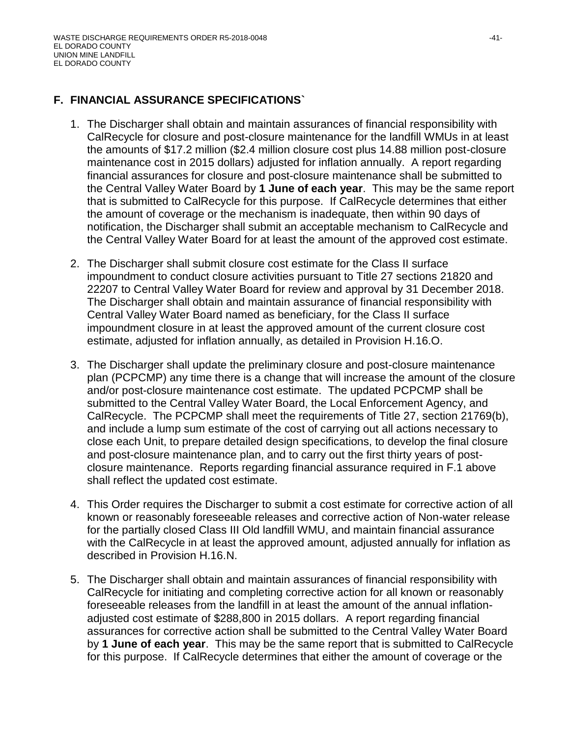#### **F. FINANCIAL ASSURANCE SPECIFICATIONS`**

- 1. The Discharger shall obtain and maintain assurances of financial responsibility with CalRecycle for closure and post-closure maintenance for the landfill WMUs in at least the amounts of \$17.2 million (\$2.4 million closure cost plus 14.88 million post-closure maintenance cost in 2015 dollars) adjusted for inflation annually. A report regarding financial assurances for closure and post-closure maintenance shall be submitted to the Central Valley Water Board by **1 June of each year**. This may be the same report that is submitted to CalRecycle for this purpose. If CalRecycle determines that either the amount of coverage or the mechanism is inadequate, then within 90 days of notification, the Discharger shall submit an acceptable mechanism to CalRecycle and the Central Valley Water Board for at least the amount of the approved cost estimate.
- 2. The Discharger shall submit closure cost estimate for the Class II surface impoundment to conduct closure activities pursuant to Title 27 sections 21820 and 22207 to Central Valley Water Board for review and approval by 31 December 2018. The Discharger shall obtain and maintain assurance of financial responsibility with Central Valley Water Board named as beneficiary, for the Class II surface impoundment closure in at least the approved amount of the current closure cost estimate, adjusted for inflation annually, as detailed in Provision H.16.O.
- 3. The Discharger shall update the preliminary closure and post-closure maintenance plan (PCPCMP) any time there is a change that will increase the amount of the closure and/or post-closure maintenance cost estimate. The updated PCPCMP shall be submitted to the Central Valley Water Board, the Local Enforcement Agency, and CalRecycle. The PCPCMP shall meet the requirements of Title 27, section 21769(b), and include a lump sum estimate of the cost of carrying out all actions necessary to close each Unit, to prepare detailed design specifications, to develop the final closure and post-closure maintenance plan, and to carry out the first thirty years of postclosure maintenance. Reports regarding financial assurance required in F.1 above shall reflect the updated cost estimate.
- 4. This Order requires the Discharger to submit a cost estimate for corrective action of all known or reasonably foreseeable releases and corrective action of Non-water release for the partially closed Class III Old landfill WMU, and maintain financial assurance with the CalRecycle in at least the approved amount, adjusted annually for inflation as described in Provision H.16.N.
- 5. The Discharger shall obtain and maintain assurances of financial responsibility with CalRecycle for initiating and completing corrective action for all known or reasonably foreseeable releases from the landfill in at least the amount of the annual inflationadjusted cost estimate of \$288,800 in 2015 dollars. A report regarding financial assurances for corrective action shall be submitted to the Central Valley Water Board by **1 June of each year**. This may be the same report that is submitted to CalRecycle for this purpose. If CalRecycle determines that either the amount of coverage or the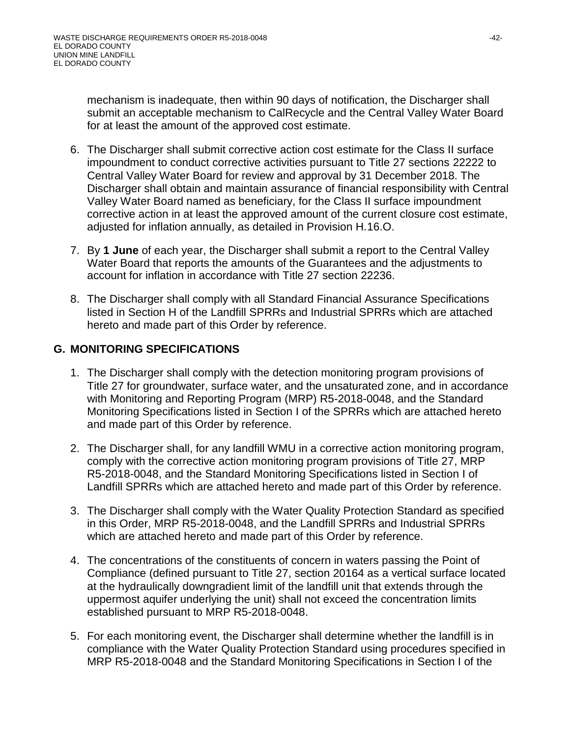mechanism is inadequate, then within 90 days of notification, the Discharger shall submit an acceptable mechanism to CalRecycle and the Central Valley Water Board for at least the amount of the approved cost estimate.

- 6. The Discharger shall submit corrective action cost estimate for the Class II surface impoundment to conduct corrective activities pursuant to Title 27 sections 22222 to Central Valley Water Board for review and approval by 31 December 2018. The Discharger shall obtain and maintain assurance of financial responsibility with Central Valley Water Board named as beneficiary, for the Class II surface impoundment corrective action in at least the approved amount of the current closure cost estimate, adjusted for inflation annually, as detailed in Provision H.16.O.
- 7. By **1 June** of each year, the Discharger shall submit a report to the Central Valley Water Board that reports the amounts of the Guarantees and the adjustments to account for inflation in accordance with Title 27 section 22236.
- 8. The Discharger shall comply with all Standard Financial Assurance Specifications listed in Section H of the Landfill SPRRs and Industrial SPRRs which are attached hereto and made part of this Order by reference.

# **G. MONITORING SPECIFICATIONS**

- 1. The Discharger shall comply with the detection monitoring program provisions of Title 27 for groundwater, surface water, and the unsaturated zone, and in accordance with Monitoring and Reporting Program (MRP) R5-2018-0048, and the Standard Monitoring Specifications listed in Section I of the SPRRs which are attached hereto and made part of this Order by reference.
- 2. The Discharger shall, for any landfill WMU in a corrective action monitoring program, comply with the corrective action monitoring program provisions of Title 27, MRP R5-2018-0048, and the Standard Monitoring Specifications listed in Section I of Landfill SPRRs which are attached hereto and made part of this Order by reference.
- 3. The Discharger shall comply with the Water Quality Protection Standard as specified in this Order, MRP R5-2018-0048, and the Landfill SPRRs and Industrial SPRRs which are attached hereto and made part of this Order by reference.
- 4. The concentrations of the constituents of concern in waters passing the Point of Compliance (defined pursuant to Title 27, section 20164 as a vertical surface located at the hydraulically downgradient limit of the landfill unit that extends through the uppermost aquifer underlying the unit) shall not exceed the concentration limits established pursuant to MRP R5-2018-0048.
- 5. For each monitoring event, the Discharger shall determine whether the landfill is in compliance with the Water Quality Protection Standard using procedures specified in MRP R5-2018-0048 and the Standard Monitoring Specifications in Section I of the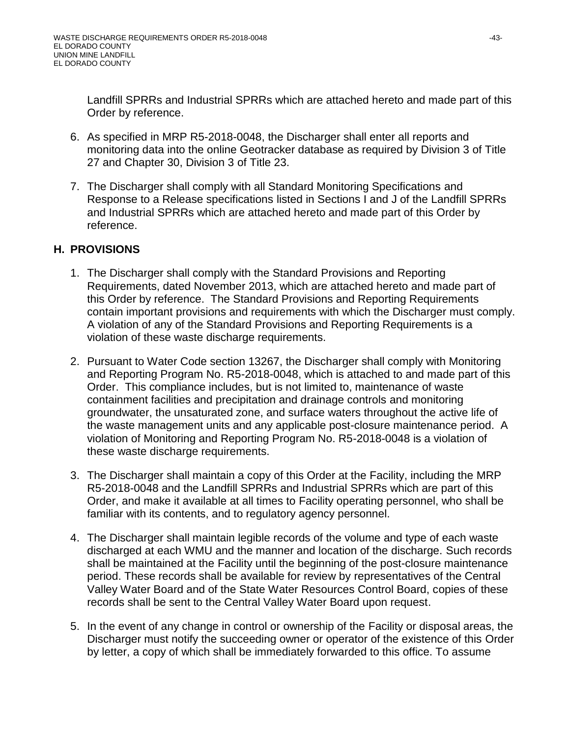Landfill SPRRs and Industrial SPRRs which are attached hereto and made part of this Order by reference.

- 6. As specified in MRP R5-2018-0048, the Discharger shall enter all reports and monitoring data into the online Geotracker database as required by Division 3 of Title 27 and Chapter 30, Division 3 of Title 23.
- 7. The Discharger shall comply with all Standard Monitoring Specifications and Response to a Release specifications listed in Sections I and J of the Landfill SPRRs and Industrial SPRRs which are attached hereto and made part of this Order by reference.

# **H. PROVISIONS**

- 1. The Discharger shall comply with the Standard Provisions and Reporting Requirements, dated November 2013, which are attached hereto and made part of this Order by reference. The Standard Provisions and Reporting Requirements contain important provisions and requirements with which the Discharger must comply. A violation of any of the Standard Provisions and Reporting Requirements is a violation of these waste discharge requirements.
- 2. Pursuant to Water Code section 13267, the Discharger shall comply with Monitoring and Reporting Program No. R5-2018-0048, which is attached to and made part of this Order. This compliance includes, but is not limited to, maintenance of waste containment facilities and precipitation and drainage controls and monitoring groundwater, the unsaturated zone, and surface waters throughout the active life of the waste management units and any applicable post-closure maintenance period. A violation of Monitoring and Reporting Program No. R5-2018-0048 is a violation of these waste discharge requirements.
- 3. The Discharger shall maintain a copy of this Order at the Facility, including the MRP R5-2018-0048 and the Landfill SPRRs and Industrial SPRRs which are part of this Order, and make it available at all times to Facility operating personnel, who shall be familiar with its contents, and to regulatory agency personnel.
- 4. The Discharger shall maintain legible records of the volume and type of each waste discharged at each WMU and the manner and location of the discharge. Such records shall be maintained at the Facility until the beginning of the post-closure maintenance period. These records shall be available for review by representatives of the Central Valley Water Board and of the State Water Resources Control Board, copies of these records shall be sent to the Central Valley Water Board upon request.
- 5. In the event of any change in control or ownership of the Facility or disposal areas, the Discharger must notify the succeeding owner or operator of the existence of this Order by letter, a copy of which shall be immediately forwarded to this office. To assume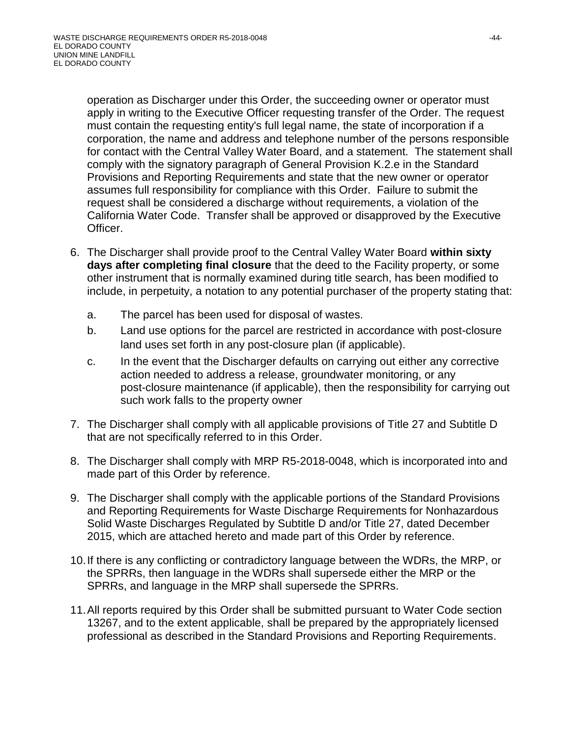operation as Discharger under this Order, the succeeding owner or operator must apply in writing to the Executive Officer requesting transfer of the Order. The request must contain the requesting entity's full legal name, the state of incorporation if a corporation, the name and address and telephone number of the persons responsible for contact with the Central Valley Water Board, and a statement. The statement shall comply with the signatory paragraph of General Provision K.2.e in the Standard Provisions and Reporting Requirements and state that the new owner or operator assumes full responsibility for compliance with this Order. Failure to submit the request shall be considered a discharge without requirements, a violation of the California Water Code. Transfer shall be approved or disapproved by the Executive Officer.

- 6. The Discharger shall provide proof to the Central Valley Water Board **within sixty days after completing final closure** that the deed to the Facility property, or some other instrument that is normally examined during title search, has been modified to include, in perpetuity, a notation to any potential purchaser of the property stating that:
	- a. The parcel has been used for disposal of wastes.
	- b. Land use options for the parcel are restricted in accordance with post-closure land uses set forth in any post-closure plan (if applicable).
	- c. In the event that the Discharger defaults on carrying out either any corrective action needed to address a release, groundwater monitoring, or any post-closure maintenance (if applicable), then the responsibility for carrying out such work falls to the property owner
- 7. The Discharger shall comply with all applicable provisions of Title 27 and Subtitle D that are not specifically referred to in this Order.
- 8. The Discharger shall comply with MRP R5-2018-0048, which is incorporated into and made part of this Order by reference.
- 9. The Discharger shall comply with the applicable portions of the Standard Provisions and Reporting Requirements for Waste Discharge Requirements for Nonhazardous Solid Waste Discharges Regulated by Subtitle D and/or Title 27, dated December 2015, which are attached hereto and made part of this Order by reference.
- 10.If there is any conflicting or contradictory language between the WDRs, the MRP, or the SPRRs, then language in the WDRs shall supersede either the MRP or the SPRRs, and language in the MRP shall supersede the SPRRs.
- 11.All reports required by this Order shall be submitted pursuant to Water Code section 13267, and to the extent applicable, shall be prepared by the appropriately licensed professional as described in the Standard Provisions and Reporting Requirements.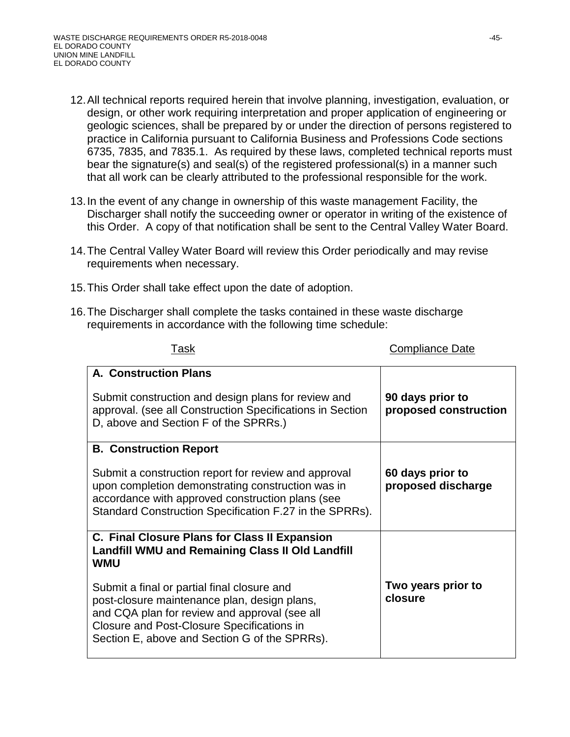- 12.All technical reports required herein that involve planning, investigation, evaluation, or design, or other work requiring interpretation and proper application of engineering or geologic sciences, shall be prepared by or under the direction of persons registered to practice in California pursuant to California Business and Professions Code sections 6735, 7835, and 7835.1. As required by these laws, completed technical reports must bear the signature(s) and seal(s) of the registered professional(s) in a manner such that all work can be clearly attributed to the professional responsible for the work.
- 13.In the event of any change in ownership of this waste management Facility, the Discharger shall notify the succeeding owner or operator in writing of the existence of this Order. A copy of that notification shall be sent to the Central Valley Water Board.
- 14.The Central Valley Water Board will review this Order periodically and may revise requirements when necessary.
- 15.This Order shall take effect upon the date of adoption.
- 16.The Discharger shall complete the tasks contained in these waste discharge requirements in accordance with the following time schedule:

| <u>, uun</u>                                                                                                                                                                                                                                                                                                                                                                 | oompiianoo bato                           |
|------------------------------------------------------------------------------------------------------------------------------------------------------------------------------------------------------------------------------------------------------------------------------------------------------------------------------------------------------------------------------|-------------------------------------------|
| <b>A. Construction Plans</b><br>Submit construction and design plans for review and<br>approval. (see all Construction Specifications in Section<br>D, above and Section F of the SPRRs.)                                                                                                                                                                                    | 90 days prior to<br>proposed construction |
| <b>B. Construction Report</b><br>Submit a construction report for review and approval<br>upon completion demonstrating construction was in<br>accordance with approved construction plans (see<br>Standard Construction Specification F.27 in the SPRRs).                                                                                                                    | 60 days prior to<br>proposed discharge    |
| C. Final Closure Plans for Class II Expansion<br><b>Landfill WMU and Remaining Class II Old Landfill</b><br><b>WMU</b><br>Submit a final or partial final closure and<br>post-closure maintenance plan, design plans,<br>and CQA plan for review and approval (see all<br><b>Closure and Post-Closure Specifications in</b><br>Section E, above and Section G of the SPRRs). | Two years prior to<br>closure             |

Task Compliance Date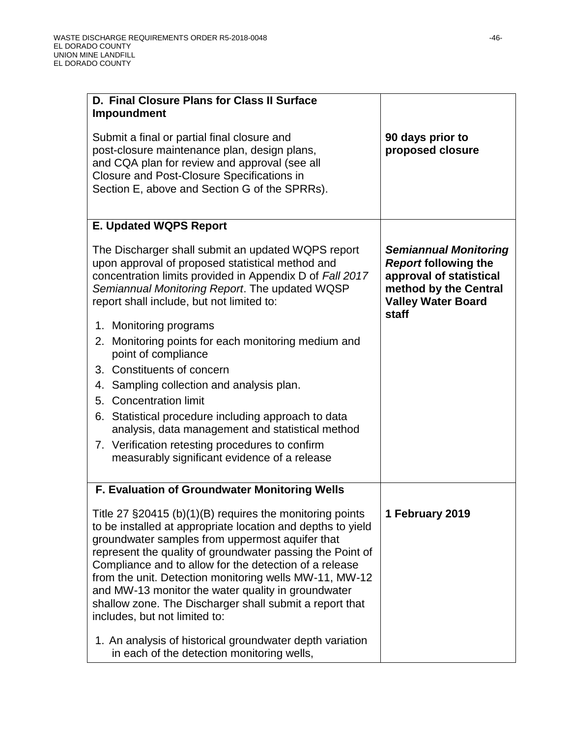| D. Final Closure Plans for Class II Surface                                                                                                                                                                                                                                                                                                                                                                                                                                                                       |                                                                                                                                                       |
|-------------------------------------------------------------------------------------------------------------------------------------------------------------------------------------------------------------------------------------------------------------------------------------------------------------------------------------------------------------------------------------------------------------------------------------------------------------------------------------------------------------------|-------------------------------------------------------------------------------------------------------------------------------------------------------|
| Impoundment                                                                                                                                                                                                                                                                                                                                                                                                                                                                                                       |                                                                                                                                                       |
| Submit a final or partial final closure and<br>post-closure maintenance plan, design plans,<br>and CQA plan for review and approval (see all<br><b>Closure and Post-Closure Specifications in</b><br>Section E, above and Section G of the SPRRs).                                                                                                                                                                                                                                                                | 90 days prior to<br>proposed closure                                                                                                                  |
| <b>E. Updated WQPS Report</b>                                                                                                                                                                                                                                                                                                                                                                                                                                                                                     |                                                                                                                                                       |
| The Discharger shall submit an updated WQPS report<br>upon approval of proposed statistical method and<br>concentration limits provided in Appendix D of Fall 2017<br>Semiannual Monitoring Report. The updated WQSP<br>report shall include, but not limited to:                                                                                                                                                                                                                                                 | <b>Semiannual Monitoring</b><br><b>Report following the</b><br>approval of statistical<br>method by the Central<br><b>Valley Water Board</b><br>staff |
| 1. Monitoring programs                                                                                                                                                                                                                                                                                                                                                                                                                                                                                            |                                                                                                                                                       |
| Monitoring points for each monitoring medium and<br>2.<br>point of compliance                                                                                                                                                                                                                                                                                                                                                                                                                                     |                                                                                                                                                       |
| 3. Constituents of concern                                                                                                                                                                                                                                                                                                                                                                                                                                                                                        |                                                                                                                                                       |
| Sampling collection and analysis plan.<br>4.                                                                                                                                                                                                                                                                                                                                                                                                                                                                      |                                                                                                                                                       |
| <b>Concentration limit</b><br>5.                                                                                                                                                                                                                                                                                                                                                                                                                                                                                  |                                                                                                                                                       |
| 6. Statistical procedure including approach to data<br>analysis, data management and statistical method                                                                                                                                                                                                                                                                                                                                                                                                           |                                                                                                                                                       |
| 7. Verification retesting procedures to confirm<br>measurably significant evidence of a release                                                                                                                                                                                                                                                                                                                                                                                                                   |                                                                                                                                                       |
| F. Evaluation of Groundwater Monitoring Wells                                                                                                                                                                                                                                                                                                                                                                                                                                                                     |                                                                                                                                                       |
| Title 27 $\S 20415$ (b)(1)(B) requires the monitoring points<br>to be installed at appropriate location and depths to yield<br>groundwater samples from uppermost aquifer that<br>represent the quality of groundwater passing the Point of<br>Compliance and to allow for the detection of a release<br>from the unit. Detection monitoring wells MW-11, MW-12<br>and MW-13 monitor the water quality in groundwater<br>shallow zone. The Discharger shall submit a report that<br>includes, but not limited to: | 1 February 2019                                                                                                                                       |
| 1. An analysis of historical groundwater depth variation<br>in each of the detection monitoring wells,                                                                                                                                                                                                                                                                                                                                                                                                            |                                                                                                                                                       |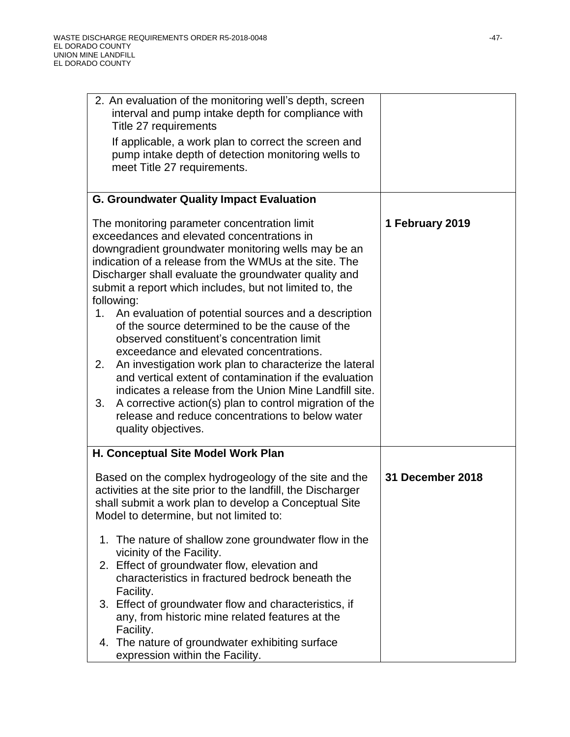| 2. An evaluation of the monitoring well's depth, screen<br>interval and pump intake depth for compliance with<br>Title 27 requirements<br>If applicable, a work plan to correct the screen and<br>pump intake depth of detection monitoring wells to<br>meet Title 27 requirements.                                                                                                                                                                                                                                                                                                                                                                                                                                                                                                                                                                                                     |                         |
|-----------------------------------------------------------------------------------------------------------------------------------------------------------------------------------------------------------------------------------------------------------------------------------------------------------------------------------------------------------------------------------------------------------------------------------------------------------------------------------------------------------------------------------------------------------------------------------------------------------------------------------------------------------------------------------------------------------------------------------------------------------------------------------------------------------------------------------------------------------------------------------------|-------------------------|
| <b>G. Groundwater Quality Impact Evaluation</b>                                                                                                                                                                                                                                                                                                                                                                                                                                                                                                                                                                                                                                                                                                                                                                                                                                         |                         |
| The monitoring parameter concentration limit<br>exceedances and elevated concentrations in<br>downgradient groundwater monitoring wells may be an<br>indication of a release from the WMUs at the site. The<br>Discharger shall evaluate the groundwater quality and<br>submit a report which includes, but not limited to, the<br>following:<br>An evaluation of potential sources and a description<br>1.<br>of the source determined to be the cause of the<br>observed constituent's concentration limit<br>exceedance and elevated concentrations.<br>An investigation work plan to characterize the lateral<br>2.<br>and vertical extent of contamination if the evaluation<br>indicates a release from the Union Mine Landfill site.<br>A corrective action(s) plan to control migration of the<br>3.<br>release and reduce concentrations to below water<br>quality objectives. | 1 February 2019         |
| H. Conceptual Site Model Work Plan                                                                                                                                                                                                                                                                                                                                                                                                                                                                                                                                                                                                                                                                                                                                                                                                                                                      |                         |
| Based on the complex hydrogeology of the site and the<br>activities at the site prior to the landfill, the Discharger<br>shall submit a work plan to develop a Conceptual Site<br>Model to determine, but not limited to:                                                                                                                                                                                                                                                                                                                                                                                                                                                                                                                                                                                                                                                               | <b>31 December 2018</b> |
| 1. The nature of shallow zone groundwater flow in the                                                                                                                                                                                                                                                                                                                                                                                                                                                                                                                                                                                                                                                                                                                                                                                                                                   |                         |
| vicinity of the Facility.<br>2. Effect of groundwater flow, elevation and<br>characteristics in fractured bedrock beneath the<br>Facility.                                                                                                                                                                                                                                                                                                                                                                                                                                                                                                                                                                                                                                                                                                                                              |                         |
| 3. Effect of groundwater flow and characteristics, if<br>any, from historic mine related features at the<br>Facility.                                                                                                                                                                                                                                                                                                                                                                                                                                                                                                                                                                                                                                                                                                                                                                   |                         |
| 4. The nature of groundwater exhibiting surface<br>expression within the Facility.                                                                                                                                                                                                                                                                                                                                                                                                                                                                                                                                                                                                                                                                                                                                                                                                      |                         |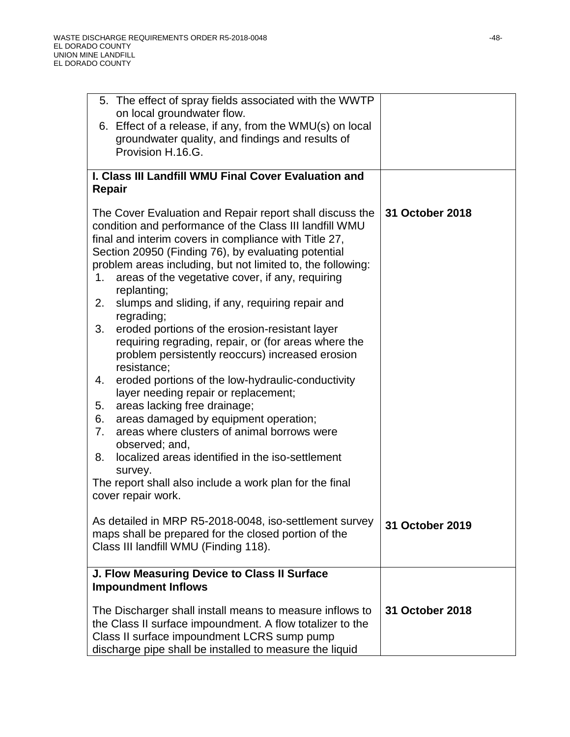| 5. The effect of spray fields associated with the WWTP                                                                                                                                                                                                                                                                                                                      |                 |
|-----------------------------------------------------------------------------------------------------------------------------------------------------------------------------------------------------------------------------------------------------------------------------------------------------------------------------------------------------------------------------|-----------------|
| on local groundwater flow.<br>6. Effect of a release, if any, from the WMU(s) on local                                                                                                                                                                                                                                                                                      |                 |
| groundwater quality, and findings and results of                                                                                                                                                                                                                                                                                                                            |                 |
| Provision H.16.G.                                                                                                                                                                                                                                                                                                                                                           |                 |
|                                                                                                                                                                                                                                                                                                                                                                             |                 |
| I. Class III Landfill WMU Final Cover Evaluation and                                                                                                                                                                                                                                                                                                                        |                 |
| Repair                                                                                                                                                                                                                                                                                                                                                                      |                 |
| The Cover Evaluation and Repair report shall discuss the<br>condition and performance of the Class III landfill WMU<br>final and interim covers in compliance with Title 27,<br>Section 20950 (Finding 76), by evaluating potential<br>problem areas including, but not limited to, the following:<br>areas of the vegetative cover, if any, requiring<br>1.<br>replanting; | 31 October 2018 |
| slumps and sliding, if any, requiring repair and<br>2.                                                                                                                                                                                                                                                                                                                      |                 |
| regrading;<br>eroded portions of the erosion-resistant layer<br>3.<br>requiring regrading, repair, or (for areas where the<br>problem persistently reoccurs) increased erosion<br>resistance;<br>eroded portions of the low-hydraulic-conductivity<br>4.<br>layer needing repair or replacement;                                                                            |                 |
| areas lacking free drainage;<br>5.                                                                                                                                                                                                                                                                                                                                          |                 |
| areas damaged by equipment operation;<br>6.                                                                                                                                                                                                                                                                                                                                 |                 |
| areas where clusters of animal borrows were<br>7.<br>observed; and,                                                                                                                                                                                                                                                                                                         |                 |
| localized areas identified in the iso-settlement<br>8.                                                                                                                                                                                                                                                                                                                      |                 |
| survey.                                                                                                                                                                                                                                                                                                                                                                     |                 |
| The report shall also include a work plan for the final<br>cover repair work.                                                                                                                                                                                                                                                                                               |                 |
| As detailed in MRP R5-2018-0048, iso-settlement survey<br>maps shall be prepared for the closed portion of the<br>Class III landfill WMU (Finding 118).                                                                                                                                                                                                                     | 31 October 2019 |
| J. Flow Measuring Device to Class II Surface<br><b>Impoundment Inflows</b>                                                                                                                                                                                                                                                                                                  |                 |
| The Discharger shall install means to measure inflows to<br>the Class II surface impoundment. A flow totalizer to the<br>Class II surface impoundment LCRS sump pump<br>discharge pipe shall be installed to measure the liquid                                                                                                                                             | 31 October 2018 |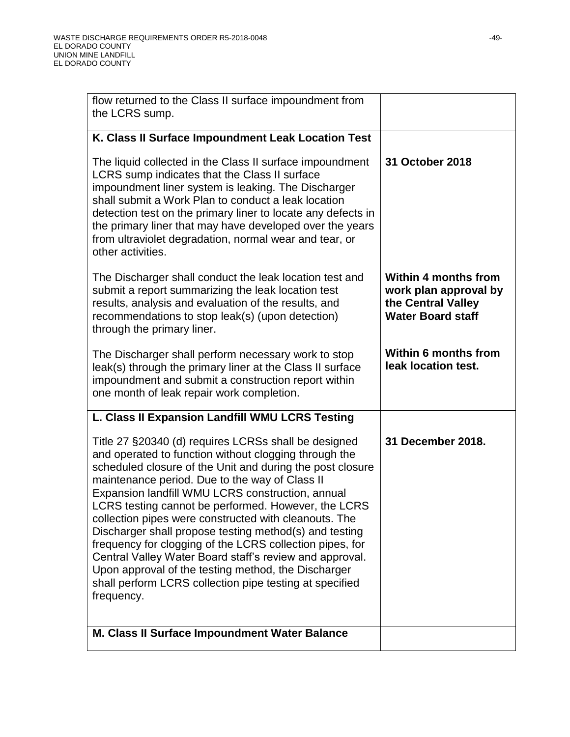| flow returned to the Class II surface impoundment from<br>the LCRS sump.                                                                                                                                                                                                                                                                                                                                                                                                                                                                                                                                                                                                                                          |                                                                                                        |
|-------------------------------------------------------------------------------------------------------------------------------------------------------------------------------------------------------------------------------------------------------------------------------------------------------------------------------------------------------------------------------------------------------------------------------------------------------------------------------------------------------------------------------------------------------------------------------------------------------------------------------------------------------------------------------------------------------------------|--------------------------------------------------------------------------------------------------------|
| K. Class II Surface Impoundment Leak Location Test                                                                                                                                                                                                                                                                                                                                                                                                                                                                                                                                                                                                                                                                |                                                                                                        |
| The liquid collected in the Class II surface impoundment<br>LCRS sump indicates that the Class II surface<br>impoundment liner system is leaking. The Discharger<br>shall submit a Work Plan to conduct a leak location<br>detection test on the primary liner to locate any defects in<br>the primary liner that may have developed over the years<br>from ultraviolet degradation, normal wear and tear, or<br>other activities.                                                                                                                                                                                                                                                                                | 31 October 2018                                                                                        |
| The Discharger shall conduct the leak location test and<br>submit a report summarizing the leak location test<br>results, analysis and evaluation of the results, and<br>recommendations to stop leak(s) (upon detection)<br>through the primary liner.                                                                                                                                                                                                                                                                                                                                                                                                                                                           | <b>Within 4 months from</b><br>work plan approval by<br>the Central Valley<br><b>Water Board staff</b> |
| The Discharger shall perform necessary work to stop<br>leak(s) through the primary liner at the Class II surface<br>impoundment and submit a construction report within<br>one month of leak repair work completion.                                                                                                                                                                                                                                                                                                                                                                                                                                                                                              | <b>Within 6 months from</b><br>leak location test.                                                     |
| L. Class II Expansion Landfill WMU LCRS Testing                                                                                                                                                                                                                                                                                                                                                                                                                                                                                                                                                                                                                                                                   |                                                                                                        |
| Title 27 §20340 (d) requires LCRSs shall be designed<br>and operated to function without clogging through the<br>scheduled closure of the Unit and during the post closure<br>maintenance period. Due to the way of Class II<br>Expansion landfill WMU LCRS construction, annual<br>LCRS testing cannot be performed. However, the LCRS<br>collection pipes were constructed with cleanouts. The<br>Discharger shall propose testing method(s) and testing<br>frequency for clogging of the LCRS collection pipes, for<br>Central Valley Water Board staff's review and approval.<br>Upon approval of the testing method, the Discharger<br>shall perform LCRS collection pipe testing at specified<br>frequency. | 31 December 2018.                                                                                      |
| M. Class II Surface Impoundment Water Balance                                                                                                                                                                                                                                                                                                                                                                                                                                                                                                                                                                                                                                                                     |                                                                                                        |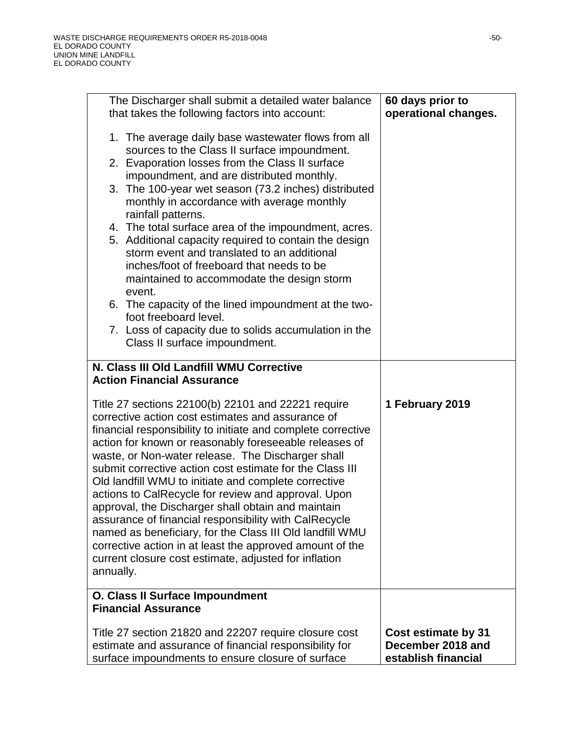| The Discharger shall submit a detailed water balance                                                                                                                                                                                                                                                                                                                                                                                                                                                                                                                                                                                                                                                                                                                           | 60 days prior to                                                |
|--------------------------------------------------------------------------------------------------------------------------------------------------------------------------------------------------------------------------------------------------------------------------------------------------------------------------------------------------------------------------------------------------------------------------------------------------------------------------------------------------------------------------------------------------------------------------------------------------------------------------------------------------------------------------------------------------------------------------------------------------------------------------------|-----------------------------------------------------------------|
| that takes the following factors into account:                                                                                                                                                                                                                                                                                                                                                                                                                                                                                                                                                                                                                                                                                                                                 | operational changes.                                            |
| 1. The average daily base wastewater flows from all<br>sources to the Class II surface impoundment.<br>2. Evaporation losses from the Class II surface<br>impoundment, and are distributed monthly.<br>3. The 100-year wet season (73.2 inches) distributed<br>monthly in accordance with average monthly<br>rainfall patterns.<br>4. The total surface area of the impoundment, acres.<br>5. Additional capacity required to contain the design<br>storm event and translated to an additional<br>inches/foot of freeboard that needs to be                                                                                                                                                                                                                                   |                                                                 |
| maintained to accommodate the design storm                                                                                                                                                                                                                                                                                                                                                                                                                                                                                                                                                                                                                                                                                                                                     |                                                                 |
| event.<br>6. The capacity of the lined impoundment at the two-<br>foot freeboard level.                                                                                                                                                                                                                                                                                                                                                                                                                                                                                                                                                                                                                                                                                        |                                                                 |
| 7. Loss of capacity due to solids accumulation in the<br>Class II surface impoundment.                                                                                                                                                                                                                                                                                                                                                                                                                                                                                                                                                                                                                                                                                         |                                                                 |
| N. Class III Old Landfill WMU Corrective                                                                                                                                                                                                                                                                                                                                                                                                                                                                                                                                                                                                                                                                                                                                       |                                                                 |
| <b>Action Financial Assurance</b>                                                                                                                                                                                                                                                                                                                                                                                                                                                                                                                                                                                                                                                                                                                                              |                                                                 |
| Title 27 sections 22100(b) 22101 and 22221 require<br>corrective action cost estimates and assurance of<br>financial responsibility to initiate and complete corrective<br>action for known or reasonably foreseeable releases of<br>waste, or Non-water release. The Discharger shall<br>submit corrective action cost estimate for the Class III<br>Old landfill WMU to initiate and complete corrective<br>actions to CalRecycle for review and approval. Upon<br>approval, the Discharger shall obtain and maintain<br>assurance of financial responsibility with CalRecycle<br>named as beneficiary, for the Class III Old landfill WMU<br>corrective action in at least the approved amount of the<br>current closure cost estimate, adjusted for inflation<br>annually. | 1 February 2019                                                 |
| O. Class II Surface Impoundment                                                                                                                                                                                                                                                                                                                                                                                                                                                                                                                                                                                                                                                                                                                                                |                                                                 |
| <b>Financial Assurance</b>                                                                                                                                                                                                                                                                                                                                                                                                                                                                                                                                                                                                                                                                                                                                                     |                                                                 |
| Title 27 section 21820 and 22207 require closure cost<br>estimate and assurance of financial responsibility for<br>surface impoundments to ensure closure of surface                                                                                                                                                                                                                                                                                                                                                                                                                                                                                                                                                                                                           | Cost estimate by 31<br>December 2018 and<br>establish financial |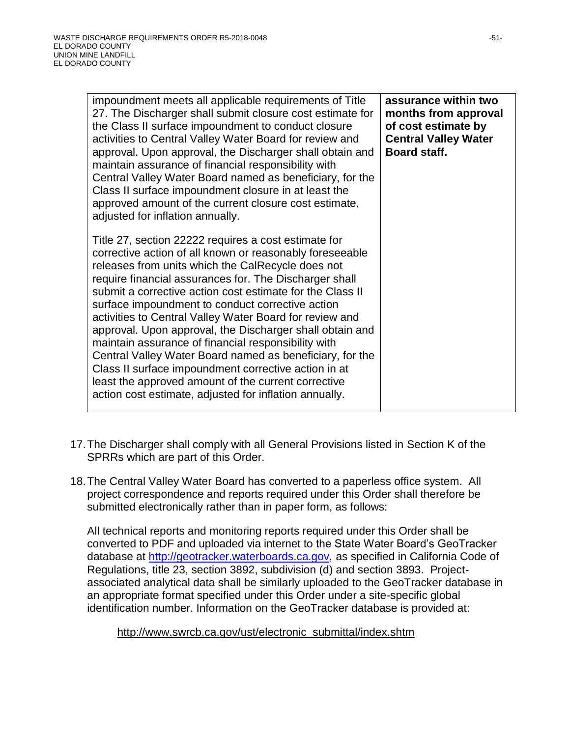| impoundment meets all applicable requirements of Title<br>27. The Discharger shall submit closure cost estimate for<br>the Class II surface impoundment to conduct closure<br>activities to Central Valley Water Board for review and<br>approval. Upon approval, the Discharger shall obtain and<br>maintain assurance of financial responsibility with<br>Central Valley Water Board named as beneficiary, for the<br>Class II surface impoundment closure in at least the<br>approved amount of the current closure cost estimate,<br>adjusted for inflation annually.                                                                                                                                                                                           | assurance within two<br>months from approval<br>of cost estimate by<br><b>Central Valley Water</b><br><b>Board staff.</b> |
|---------------------------------------------------------------------------------------------------------------------------------------------------------------------------------------------------------------------------------------------------------------------------------------------------------------------------------------------------------------------------------------------------------------------------------------------------------------------------------------------------------------------------------------------------------------------------------------------------------------------------------------------------------------------------------------------------------------------------------------------------------------------|---------------------------------------------------------------------------------------------------------------------------|
| Title 27, section 22222 requires a cost estimate for<br>corrective action of all known or reasonably foreseeable<br>releases from units which the CalRecycle does not<br>require financial assurances for. The Discharger shall<br>submit a corrective action cost estimate for the Class II<br>surface impoundment to conduct corrective action<br>activities to Central Valley Water Board for review and<br>approval. Upon approval, the Discharger shall obtain and<br>maintain assurance of financial responsibility with<br>Central Valley Water Board named as beneficiary, for the<br>Class II surface impoundment corrective action in at<br>least the approved amount of the current corrective<br>action cost estimate, adjusted for inflation annually. |                                                                                                                           |

- 17.The Discharger shall comply with all General Provisions listed in Section K of the SPRRs which are part of this Order.
- 18.The Central Valley Water Board has converted to a paperless office system. All project correspondence and reports required under this Order shall therefore be submitted electronically rather than in paper form, as follows:

All technical reports and monitoring reports required under this Order shall be converted to PDF and uploaded via internet to the State Water Board's GeoTracker database at [http://geotracker.waterboards.ca.gov,](http://geotracker.waterboards.ca.gov/) as specified in California Code of Regulations, title 23, section 3892, subdivision (d) and section 3893. Projectassociated analytical data shall be similarly uploaded to the GeoTracker database in an appropriate format specified under this Order under a site-specific global identification number. Information on the GeoTracker database is provided at:

#### http://www.swrcb.ca.gov/ust/electronic\_submittal/index.shtm